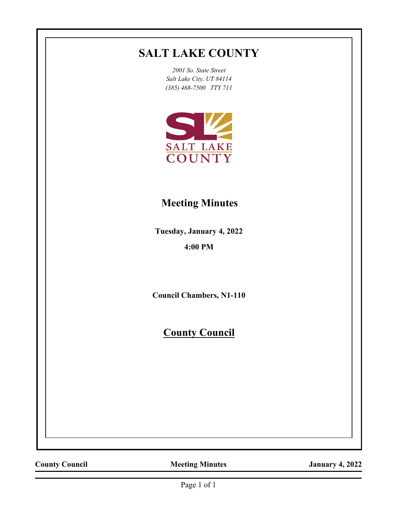# **SALT LAKE COUNTY**

*2001 So. State Street Salt Lake City, UT 84114 (385) 468-7500 TTY 711*



# **Meeting Minutes**

**Tuesday, January 4, 2022 4:00 PM**

**Council Chambers, N1-110**

**County Council**

**County Council Meeting Minutes January 4, 2022**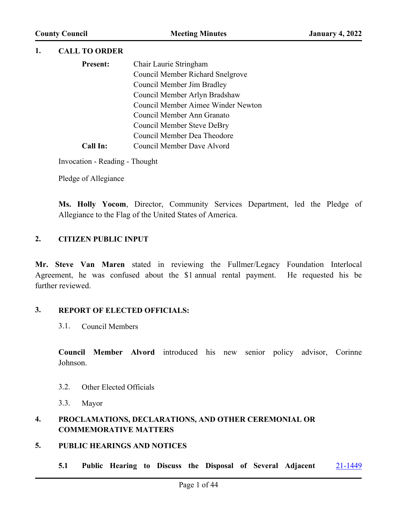#### **1. CALL TO ORDER**

| <b>Present:</b> | Chair Laurie Stringham             |
|-----------------|------------------------------------|
|                 | Council Member Richard Snelgrove   |
|                 | Council Member Jim Bradley         |
|                 | Council Member Arlyn Bradshaw      |
|                 | Council Member Aimee Winder Newton |
|                 | Council Member Ann Granato         |
|                 | <b>Council Member Steve DeBry</b>  |
|                 | Council Member Dea Theodore        |
| Call In:        | Council Member Dave Alvord         |

Invocation - Reading - Thought

Pledge of Allegiance

**Ms. Holly Yocom**, Director, Community Services Department, led the Pledge of Allegiance to the Flag of the United States of America.

#### **2. CITIZEN PUBLIC INPUT**

**Mr. Steve Van Maren** stated in reviewing the Fullmer/Legacy Foundation Interlocal Agreement, he was confused about the \$1 annual rental payment. He requested his be further reviewed.

#### **3. REPORT OF ELECTED OFFICIALS:**

3.1. Council Members

**Council Member Alvord** introduced his new senior policy advisor, Corinne Johnson.

- 3.2. Other Elected Officials
- 3.3. Mayor

#### **4. PROCLAMATIONS, DECLARATIONS, AND OTHER CEREMONIAL OR COMMEMORATIVE MATTERS**

#### **5. PUBLIC HEARINGS AND NOTICES**

**5.1 Public Hearing to Discuss the Disposal of Several Adjacent** [21-1449](http://slco.legistar.com/gateway.aspx?m=l&id=/matter.aspx?key=7203)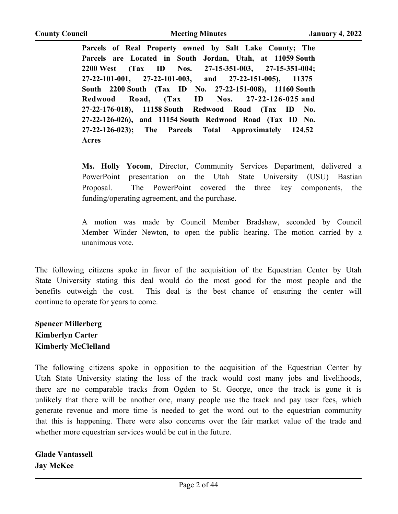**Parcels of Real Property owned by Salt Lake County; The Parcels are Located in South Jordan, Utah, at 11059 South 2200 West (Tax ID Nos. 27-15-351-003, 27-15-351-004; 27-22-101-001, 27-22-101-003, and 27-22-151-005), 11375 South 2200 South (Tax ID No. 27-22-151-008), 11160 South Redwood Road, (Tax ID Nos. 27-22-126-025 and 27-22-176-018), 11158 South Redwood Road (Tax ID No. 27-22-126-026), and 11154 South Redwood Road (Tax ID No. 27-22-126-023); The Parcels Total Approximately 124.52 Acres**

**Ms. Holly Yocom**, Director, Community Services Department, delivered a PowerPoint presentation on the Utah State University (USU) Bastian Proposal. The PowerPoint covered the three key components, the funding/operating agreement, and the purchase.

A motion was made by Council Member Bradshaw, seconded by Council Member Winder Newton, to open the public hearing. The motion carried by a unanimous vote.

The following citizens spoke in favor of the acquisition of the Equestrian Center by Utah State University stating this deal would do the most good for the most people and the benefits outweigh the cost. This deal is the best chance of ensuring the center will continue to operate for years to come.

**Spencer Millerberg Kimberlyn Carter Kimberly McClelland**

The following citizens spoke in opposition to the acquisition of the Equestrian Center by Utah State University stating the loss of the track would cost many jobs and livelihoods, there are no comparable tracks from Ogden to St. George, once the track is gone it is unlikely that there will be another one, many people use the track and pay user fees, which generate revenue and more time is needed to get the word out to the equestrian community that this is happening. There were also concerns over the fair market value of the trade and whether more equestrian services would be cut in the future.

**Glade Vantassell Jay McKee**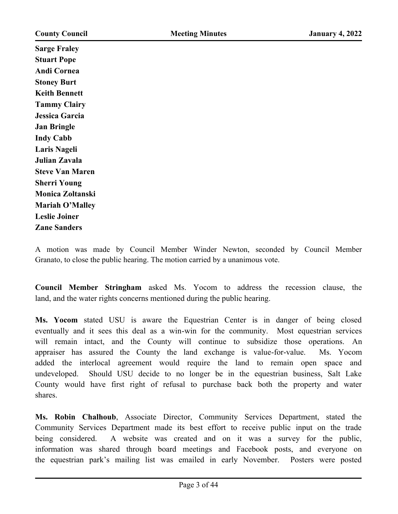**Sarge Fraley Stuart Pope Andi Cornea Stoney Burt Keith Bennett Tammy Clairy Jessica Garcia Jan Bringle Indy Cabb Laris Nageli Julian Zavala Steve Van Maren Sherri Young Monica Zoltanski Mariah O'Malley Leslie Joiner Zane Sanders**

A motion was made by Council Member Winder Newton, seconded by Council Member Granato, to close the public hearing. The motion carried by a unanimous vote.

**Council Member Stringham** asked Ms. Yocom to address the recession clause, the land, and the water rights concerns mentioned during the public hearing.

**Ms. Yocom** stated USU is aware the Equestrian Center is in danger of being closed eventually and it sees this deal as a win-win for the community. Most equestrian services will remain intact, and the County will continue to subsidize those operations. An appraiser has assured the County the land exchange is value-for-value. Ms. Yocom added the interlocal agreement would require the land to remain open space and undeveloped. Should USU decide to no longer be in the equestrian business, Salt Lake County would have first right of refusal to purchase back both the property and water shares.

**Ms. Robin Chalhoub**, Associate Director, Community Services Department, stated the Community Services Department made its best effort to receive public input on the trade being considered. A website was created and on it was a survey for the public, information was shared through board meetings and Facebook posts, and everyone on the equestrian park's mailing list was emailed in early November. Posters were posted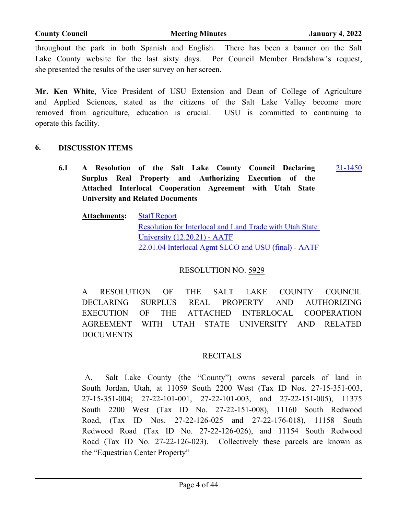throughout the park in both Spanish and English. There has been a banner on the Salt Lake County website for the last sixty days. Per Council Member Bradshaw's request, she presented the results of the user survey on her screen.

**Mr. Ken White**, Vice President of USU Extension and Dean of College of Agriculture and Applied Sciences, stated as the citizens of the Salt Lake Valley become more removed from agriculture, education is crucial. USU is committed to continuing to operate this facility.

#### **6. DISCUSSION ITEMS**

**6.1 A Resolution of the Salt Lake County Council Declaring Surplus Real Property and Authorizing Execution of the Attached Interlocal Cooperation Agreement with Utah State University and Related Documents** [21-1450](http://slco.legistar.com/gateway.aspx?m=l&id=/matter.aspx?key=7204)

**Attachments:** [Staff Report](http://slco.legistar.com/gateway.aspx?M=F&ID=d52002b9-4bc6-48be-979b-74a9111fb54d.pdf) [Resolution for Interlocal and Land Trade with Utah State](http://slco.legistar.com/gateway.aspx?M=F&ID=15d3a4f2-3f19-49a5-86ef-2dc77dfdc62a.pdf)  University (12.20.21) - AATF [22.01.04 Interlocal Agmt SLCO and USU \(final\) - AATF](http://slco.legistar.com/gateway.aspx?M=F&ID=526ad019-7047-4e2c-93c9-7cb6491c2a19.pdf)

#### RESOLUTION NO. 5929

A RESOLUTION OF THE SALT LAKE COUNTY COUNCIL DECLARING SURPLUS REAL PROPERTY AND AUTHORIZING EXECUTION OF THE ATTACHED INTERLOCAL COOPERATION AGREEMENT WITH UTAH STATE UNIVERSITY AND RELATED DOCUMENTS

#### RECITALS

A. Salt Lake County (the "County") owns several parcels of land in South Jordan, Utah, at 11059 South 2200 West (Tax ID Nos. 27-15-351-003, 27-15-351-004; 27-22-101-001, 27-22-101-003, and 27-22-151-005), 11375 South 2200 West (Tax ID No. 27-22-151-008), 11160 South Redwood Road, (Tax ID Nos. 27-22-126-025 and 27-22-176-018), 11158 South Redwood Road (Tax ID No. 27-22-126-026), and 11154 South Redwood Road (Tax ID No. 27-22-126-023). Collectively these parcels are known as the "Equestrian Center Property"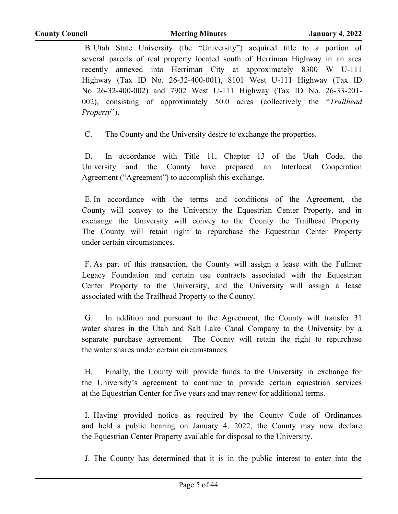B. Utah State University (the "University") acquired title to a portion of several parcels of real property located south of Herriman Highway in an area recently annexed into Herriman City at approximately 8300 W U-111 Highway (Tax ID No. 26-32-400-001), 8101 West U-111 Highway (Tax ID No 26-32-400-002) and 7902 West U-111 Highway (Tax ID No. 26-33-201- 002), consisting of approximately 50.0 acres (collectively the "*Trailhead Property*").

C. The County and the University desire to exchange the properties.

D. In accordance with Title 11, Chapter 13 of the Utah Code, the University and the County have prepared an Interlocal Cooperation Agreement ("Agreement") to accomplish this exchange.

E. In accordance with the terms and conditions of the Agreement, the County will convey to the University the Equestrian Center Property, and in exchange the University will convey to the County the Trailhead Property. The County will retain right to repurchase the Equestrian Center Property under certain circumstances.

F. As part of this transaction, the County will assign a lease with the Fullmer Legacy Foundation and certain use contracts associated with the Equestrian Center Property to the University, and the University will assign a lease associated with the Trailhead Property to the County.

G. In addition and pursuant to the Agreement, the County will transfer 31 water shares in the Utah and Salt Lake Canal Company to the University by a separate purchase agreement. The County will retain the right to repurchase the water shares under certain circumstances.

H. Finally, the County will provide funds to the University in exchange for the University's agreement to continue to provide certain equestrian services at the Equestrian Center for five years and may renew for additional terms.

I. Having provided notice as required by the County Code of Ordinances and held a public hearing on January 4, 2022, the County may now declare the Equestrian Center Property available for disposal to the University.

J. The County has determined that it is in the public interest to enter into the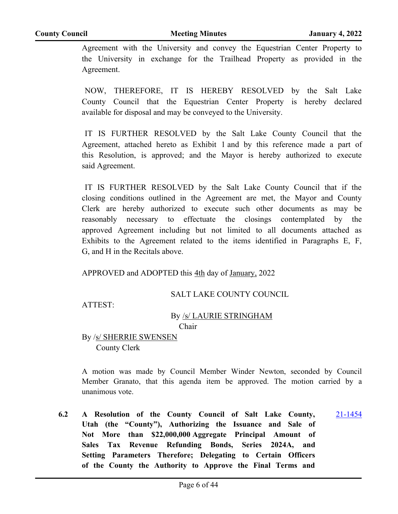Agreement with the University and convey the Equestrian Center Property to the University in exchange for the Trailhead Property as provided in the Agreement.

NOW, THEREFORE, IT IS HEREBY RESOLVED by the Salt Lake County Council that the Equestrian Center Property is hereby declared available for disposal and may be conveyed to the University.

IT IS FURTHER RESOLVED by the Salt Lake County Council that the Agreement, attached hereto as Exhibit 1 and by this reference made a part of this Resolution, is approved; and the Mayor is hereby authorized to execute said Agreement.

IT IS FURTHER RESOLVED by the Salt Lake County Council that if the closing conditions outlined in the Agreement are met, the Mayor and County Clerk are hereby authorized to execute such other documents as may be reasonably necessary to effectuate the closings contemplated by the approved Agreement including but not limited to all documents attached as Exhibits to the Agreement related to the items identified in Paragraphs E, F, G, and H in the Recitals above.

APPROVED and ADOPTED this 4th day of January, 2022

#### SALT LAKE COUNTY COUNCIL

ATTEST:

#### By /s/ LAURIE STRINGHAM

Chair

By /s/ SHERRIE SWENSEN County Clerk

A motion was made by Council Member Winder Newton, seconded by Council Member Granato, that this agenda item be approved. The motion carried by a unanimous vote.

**6.2 A Resolution of the County Council of Salt Lake County, Utah (the "County"), Authorizing the Issuance and Sale of Not More than \$22,000,000 Aggregate Principal Amount of Sales Tax Revenue Refunding Bonds, Series 2024A, and Setting Parameters Therefore; Delegating to Certain Officers of the County the Authority to Approve the Final Terms and**  [21-1454](http://slco.legistar.com/gateway.aspx?m=l&id=/matter.aspx?key=7208)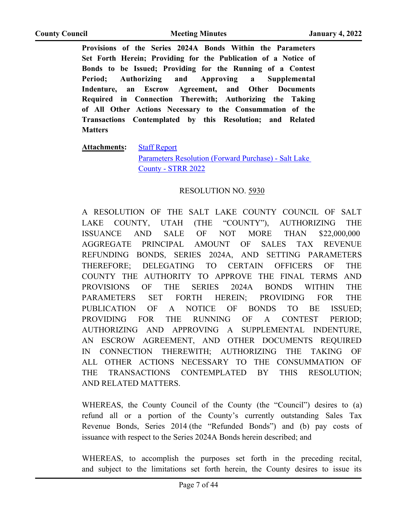**Provisions of the Series 2024A Bonds Within the Parameters Set Forth Herein; Providing for the Publication of a Notice of Bonds to be Issued; Providing for the Running of a Contest Period; Authorizing and Approving a Supplemental Indenture, an Escrow Agreement, and Other Documents Required in Connection Therewith; Authorizing the Taking of All Other Actions Necessary to the Consummation of the Transactions Contemplated by this Resolution; and Related Matters**

**Attachments:** [Staff Report](http://slco.legistar.com/gateway.aspx?M=F&ID=85a1a7be-92a1-4e35-9c65-051a6f92e218.pdf)

[Parameters Resolution \(Forward Purchase\) - Salt Lake](http://slco.legistar.com/gateway.aspx?M=F&ID=4a54c133-e8fe-42f7-a3de-f3c8268911dc.pdf)  County - STRR 2022

#### RESOLUTION NO. 5930

A RESOLUTION OF THE SALT LAKE COUNTY COUNCIL OF SALT LAKE COUNTY, UTAH (THE "COUNTY"), AUTHORIZING THE ISSUANCE AND SALE OF NOT MORE THAN \$22,000,000 AGGREGATE PRINCIPAL AMOUNT OF SALES TAX REVENUE REFUNDING BONDS, SERIES 2024A, AND SETTING PARAMETERS THEREFORE; DELEGATING TO CERTAIN OFFICERS OF THE COUNTY THE AUTHORITY TO APPROVE THE FINAL TERMS AND PROVISIONS OF THE SERIES 2024A BONDS WITHIN THE PARAMETERS SET FORTH HEREIN; PROVIDING FOR THE PUBLICATION OF A NOTICE OF BONDS TO BE ISSUED; PROVIDING FOR THE RUNNING OF A CONTEST PERIOD; AUTHORIZING AND APPROVING A SUPPLEMENTAL INDENTURE, AN ESCROW AGREEMENT, AND OTHER DOCUMENTS REQUIRED IN CONNECTION THEREWITH; AUTHORIZING THE TAKING OF ALL OTHER ACTIONS NECESSARY TO THE CONSUMMATION OF THE TRANSACTIONS CONTEMPLATED BY THIS RESOLUTION; AND RELATED MATTERS.

WHEREAS, the County Council of the County (the "Council") desires to (a) refund all or a portion of the County's currently outstanding Sales Tax Revenue Bonds, Series 2014 (the "Refunded Bonds") and (b) pay costs of issuance with respect to the Series 2024A Bonds herein described; and

WHEREAS, to accomplish the purposes set forth in the preceding recital, and subject to the limitations set forth herein, the County desires to issue its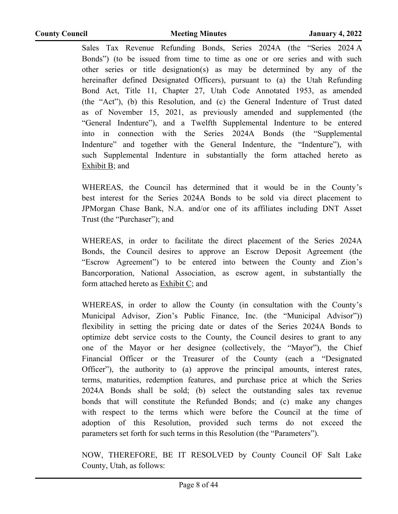Sales Tax Revenue Refunding Bonds, Series 2024A (the "Series 2024 A Bonds") (to be issued from time to time as one or ore series and with such other series or title designation(s) as may be determined by any of the hereinafter defined Designated Officers), pursuant to (a) the Utah Refunding Bond Act, Title 11, Chapter 27, Utah Code Annotated 1953, as amended (the "Act"), (b) this Resolution, and (c) the General Indenture of Trust dated as of November 15, 2021, as previously amended and supplemented (the "General Indenture"), and a Twelfth Supplemental Indenture to be entered into in connection with the Series 2024A Bonds (the "Supplemental Indenture" and together with the General Indenture, the "Indenture"), with such Supplemental Indenture in substantially the form attached hereto as Exhibit B; and

WHEREAS, the Council has determined that it would be in the County's best interest for the Series 2024A Bonds to be sold via direct placement to JPMorgan Chase Bank, N.A. and/or one of its affiliates including DNT Asset Trust (the "Purchaser"); and

WHEREAS, in order to facilitate the direct placement of the Series 2024A Bonds, the Council desires to approve an Escrow Deposit Agreement (the "Escrow Agreement") to be entered into between the County and Zion's Bancorporation, National Association, as escrow agent, in substantially the form attached hereto as Exhibit C; and

WHEREAS, in order to allow the County (in consultation with the County's Municipal Advisor, Zion's Public Finance, Inc. (the "Municipal Advisor")) flexibility in setting the pricing date or dates of the Series 2024A Bonds to optimize debt service costs to the County, the Council desires to grant to any one of the Mayor or her designee (collectively, the "Mayor"), the Chief Financial Officer or the Treasurer of the County (each a "Designated Officer"), the authority to (a) approve the principal amounts, interest rates, terms, maturities, redemption features, and purchase price at which the Series 2024A Bonds shall be sold; (b) select the outstanding sales tax revenue bonds that will constitute the Refunded Bonds; and (c) make any changes with respect to the terms which were before the Council at the time of adoption of this Resolution, provided such terms do not exceed the parameters set forth for such terms in this Resolution (the "Parameters").

NOW, THEREFORE, BE IT RESOLVED by County Council OF Salt Lake County, Utah, as follows: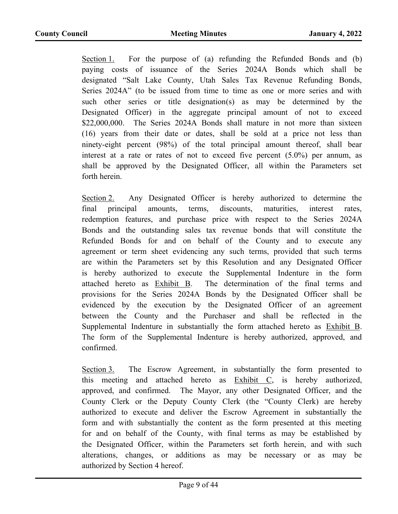Section 1. For the purpose of (a) refunding the Refunded Bonds and (b) paying costs of issuance of the Series 2024A Bonds which shall be designated "Salt Lake County, Utah Sales Tax Revenue Refunding Bonds, Series 2024A" (to be issued from time to time as one or more series and with such other series or title designation(s) as may be determined by the Designated Officer) in the aggregate principal amount of not to exceed \$22,000,000. The Series 2024A Bonds shall mature in not more than sixteen (16) years from their date or dates, shall be sold at a price not less than ninety-eight percent (98%) of the total principal amount thereof, shall bear interest at a rate or rates of not to exceed five percent (5.0%) per annum, as shall be approved by the Designated Officer, all within the Parameters set forth herein.

Section 2. Any Designated Officer is hereby authorized to determine the final principal amounts, terms, discounts, maturities, interest rates, redemption features, and purchase price with respect to the Series 2024A Bonds and the outstanding sales tax revenue bonds that will constitute the Refunded Bonds for and on behalf of the County and to execute any agreement or term sheet evidencing any such terms, provided that such terms are within the Parameters set by this Resolution and any Designated Officer is hereby authorized to execute the Supplemental Indenture in the form attached hereto as Exhibit B. The determination of the final terms and provisions for the Series 2024A Bonds by the Designated Officer shall be evidenced by the execution by the Designated Officer of an agreement between the County and the Purchaser and shall be reflected in the Supplemental Indenture in substantially the form attached hereto as Exhibit B. The form of the Supplemental Indenture is hereby authorized, approved, and confirmed.

Section 3. The Escrow Agreement, in substantially the form presented to this meeting and attached hereto as Exhibit C, is hereby authorized, approved, and confirmed. The Mayor, any other Designated Officer, and the County Clerk or the Deputy County Clerk (the "County Clerk) are hereby authorized to execute and deliver the Escrow Agreement in substantially the form and with substantially the content as the form presented at this meeting for and on behalf of the County, with final terms as may be established by the Designated Officer, within the Parameters set forth herein, and with such alterations, changes, or additions as may be necessary or as may be authorized by Section 4 hereof.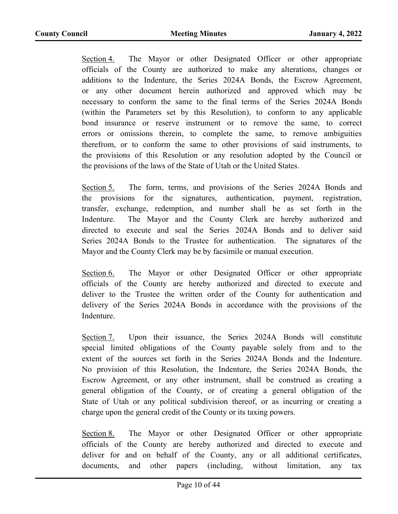Section 4. The Mayor or other Designated Officer or other appropriate officials of the County are authorized to make any alterations, changes or additions to the Indenture, the Series 2024A Bonds, the Escrow Agreement, or any other document herein authorized and approved which may be necessary to conform the same to the final terms of the Series 2024A Bonds (within the Parameters set by this Resolution), to conform to any applicable bond insurance or reserve instrument or to remove the same, to correct errors or omissions therein, to complete the same, to remove ambiguities therefrom, or to conform the same to other provisions of said instruments, to the provisions of this Resolution or any resolution adopted by the Council or the provisions of the laws of the State of Utah or the United States.

Section 5. The form, terms, and provisions of the Series 2024A Bonds and the provisions for the signatures, authentication, payment, registration, transfer, exchange, redemption, and number shall be as set forth in the Indenture. The Mayor and the County Clerk are hereby authorized and directed to execute and seal the Series 2024A Bonds and to deliver said Series 2024A Bonds to the Trustee for authentication. The signatures of the Mayor and the County Clerk may be by facsimile or manual execution.

Section 6. The Mayor or other Designated Officer or other appropriate officials of the County are hereby authorized and directed to execute and deliver to the Trustee the written order of the County for authentication and delivery of the Series 2024A Bonds in accordance with the provisions of the Indenture.

Section 7. Upon their issuance, the Series 2024A Bonds will constitute special limited obligations of the County payable solely from and to the extent of the sources set forth in the Series 2024A Bonds and the Indenture. No provision of this Resolution, the Indenture, the Series 2024A Bonds, the Escrow Agreement, or any other instrument, shall be construed as creating a general obligation of the County, or of creating a general obligation of the State of Utah or any political subdivision thereof, or as incurring or creating a charge upon the general credit of the County or its taxing powers.

Section 8. The Mayor or other Designated Officer or other appropriate officials of the County are hereby authorized and directed to execute and deliver for and on behalf of the County, any or all additional certificates, documents, and other papers (including, without limitation, any tax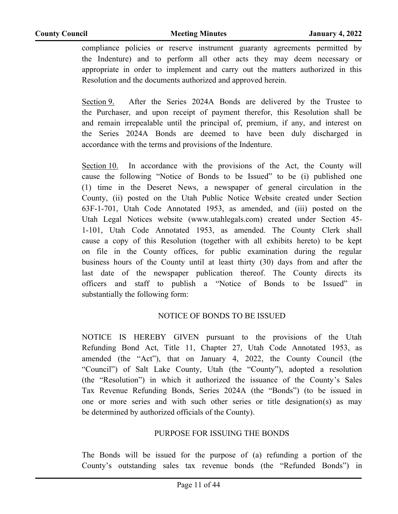compliance policies or reserve instrument guaranty agreements permitted by the Indenture) and to perform all other acts they may deem necessary or appropriate in order to implement and carry out the matters authorized in this Resolution and the documents authorized and approved herein.

Section 9. After the Series 2024A Bonds are delivered by the Trustee to the Purchaser, and upon receipt of payment therefor, this Resolution shall be and remain irrepealable until the principal of, premium, if any, and interest on the Series 2024A Bonds are deemed to have been duly discharged in accordance with the terms and provisions of the Indenture.

Section 10. In accordance with the provisions of the Act, the County will cause the following "Notice of Bonds to be Issued" to be (i) published one (1) time in the Deseret News, a newspaper of general circulation in the County, (ii) posted on the Utah Public Notice Website created under Section 63F-1-701, Utah Code Annotated 1953, as amended, and (iii) posted on the Utah Legal Notices website (www.utahlegals.com) created under Section 45- 1-101, Utah Code Annotated 1953, as amended. The County Clerk shall cause a copy of this Resolution (together with all exhibits hereto) to be kept on file in the County offices, for public examination during the regular business hours of the County until at least thirty (30) days from and after the last date of the newspaper publication thereof. The County directs its officers and staff to publish a "Notice of Bonds to be Issued" in substantially the following form:

#### NOTICE OF BONDS TO BE ISSUED

NOTICE IS HEREBY GIVEN pursuant to the provisions of the Utah Refunding Bond Act, Title 11, Chapter 27, Utah Code Annotated 1953, as amended (the "Act"), that on January 4, 2022, the County Council (the "Council") of Salt Lake County, Utah (the "County"), adopted a resolution (the "Resolution") in which it authorized the issuance of the County's Sales Tax Revenue Refunding Bonds, Series 2024A (the "Bonds") (to be issued in one or more series and with such other series or title designation(s) as may be determined by authorized officials of the County).

#### PURPOSE FOR ISSUING THE BONDS

The Bonds will be issued for the purpose of (a) refunding a portion of the County's outstanding sales tax revenue bonds (the "Refunded Bonds") in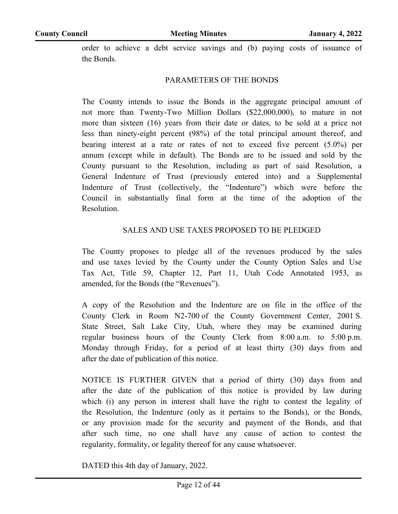order to achieve a debt service savings and (b) paying costs of issuance of the Bonds.

#### PARAMETERS OF THE BONDS

The County intends to issue the Bonds in the aggregate principal amount of not more than Twenty-Two Million Dollars (\$22,000,000), to mature in not more than sixteen (16) years from their date or dates, to be sold at a price not less than ninety-eight percent (98%) of the total principal amount thereof, and bearing interest at a rate or rates of not to exceed five percent (5.0%) per annum (except while in default). The Bonds are to be issued and sold by the County pursuant to the Resolution, including as part of said Resolution, a General Indenture of Trust (previously entered into) and a Supplemental Indenture of Trust (collectively, the "Indenture") which were before the Council in substantially final form at the time of the adoption of the Resolution.

#### SALES AND USE TAXES PROPOSED TO BE PLEDGED

The County proposes to pledge all of the revenues produced by the sales and use taxes levied by the County under the County Option Sales and Use Tax Act, Title 59, Chapter 12, Part 11, Utah Code Annotated 1953, as amended, for the Bonds (the "Revenues").

A copy of the Resolution and the Indenture are on file in the office of the County Clerk in Room N2-700 of the County Government Center, 2001 S. State Street, Salt Lake City, Utah, where they may be examined during regular business hours of the County Clerk from 8:00 a.m. to 5:00 p.m. Monday through Friday, for a period of at least thirty (30) days from and after the date of publication of this notice.

NOTICE IS FURTHER GIVEN that a period of thirty (30) days from and after the date of the publication of this notice is provided by law during which (i) any person in interest shall have the right to contest the legality of the Resolution, the Indenture (only as it pertains to the Bonds), or the Bonds, or any provision made for the security and payment of the Bonds, and that after such time, no one shall have any cause of action to contest the regularity, formality, or legality thereof for any cause whatsoever.

DATED this 4th day of January, 2022.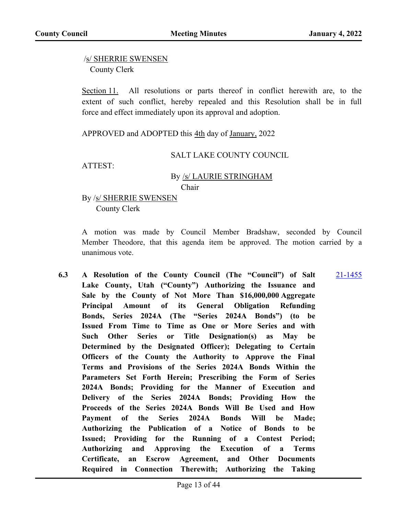/s/ SHERRIE SWENSEN County Clerk

Section 11. All resolutions or parts thereof in conflict herewith are, to the extent of such conflict, hereby repealed and this Resolution shall be in full force and effect immediately upon its approval and adoption.

APPROVED and ADOPTED this 4th day of January, 2022

#### SALT LAKE COUNTY COUNCIL

ATTEST:

#### By /s/ LAURIE STRINGHAM Chair

#### By /s/ SHERRIE SWENSEN County Clerk

A motion was made by Council Member Bradshaw, seconded by Council Member Theodore, that this agenda item be approved. The motion carried by a unanimous vote.

**6.3 A Resolution of the County Council (The "Council") of Salt Lake County, Utah ("County") Authorizing the Issuance and Sale by the County of Not More Than \$16,000,000 Aggregate Principal Amount of its General Obligation Refunding Bonds, Series 2024A (The "Series 2024A Bonds") (to be Issued From Time to Time as One or More Series and with Such Other Series or Title Designation(s) as May be Determined by the Designated Officer); Delegating to Certain Officers of the County the Authority to Approve the Final Terms and Provisions of the Series 2024A Bonds Within the Parameters Set Forth Herein; Prescribing the Form of Series 2024A Bonds; Providing for the Manner of Execution and Delivery of the Series 2024A Bonds; Providing How the Proceeds of the Series 2024A Bonds Will Be Used and How Payment of the Series 2024A Bonds Will be Made; Authorizing the Publication of a Notice of Bonds to be Issued; Providing for the Running of a Contest Period; Authorizing and Approving the Execution of a Terms Certificate, an Escrow Agreement, and Other Documents Required in Connection Therewith; Authorizing the Taking**  [21-1455](http://slco.legistar.com/gateway.aspx?m=l&id=/matter.aspx?key=7209)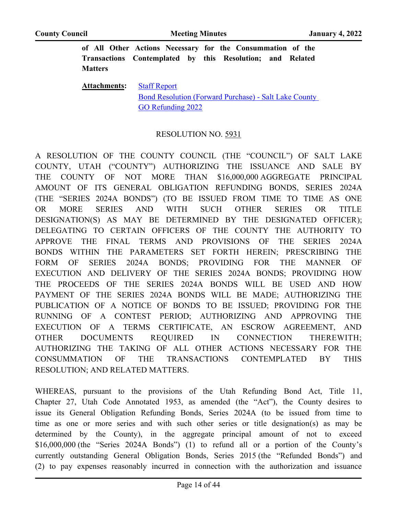**of All Other Actions Necessary for the Consummation of the Transactions Contemplated by this Resolution; and Related Matters**

**Attachments:** [Staff Report](http://slco.legistar.com/gateway.aspx?M=F&ID=3f341d62-90eb-4d93-916e-6f82162a32d2.pdf) [Bond Resolution \(Forward Purchase\) - Salt Lake County](http://slco.legistar.com/gateway.aspx?M=F&ID=086d3969-b05f-4834-81dc-8f7300cdb48d.pdf)  GO Refunding 2022

#### RESOLUTION NO. 5931

A RESOLUTION OF THE COUNTY COUNCIL (THE "COUNCIL") OF SALT LAKE COUNTY, UTAH ("COUNTY") AUTHORIZING THE ISSUANCE AND SALE BY THE COUNTY OF NOT MORE THAN \$16,000,000 AGGREGATE PRINCIPAL AMOUNT OF ITS GENERAL OBLIGATION REFUNDING BONDS, SERIES 2024A (THE "SERIES 2024A BONDS") (TO BE ISSUED FROM TIME TO TIME AS ONE OR MORE SERIES AND WITH SUCH OTHER SERIES OR TITLE DESIGNATION(S) AS MAY BE DETERMINED BY THE DESIGNATED OFFICER); DELEGATING TO CERTAIN OFFICERS OF THE COUNTY THE AUTHORITY TO APPROVE THE FINAL TERMS AND PROVISIONS OF THE SERIES 2024A BONDS WITHIN THE PARAMETERS SET FORTH HEREIN; PRESCRIBING THE FORM OF SERIES 2024A BONDS; PROVIDING FOR THE MANNER OF EXECUTION AND DELIVERY OF THE SERIES 2024A BONDS; PROVIDING HOW THE PROCEEDS OF THE SERIES 2024A BONDS WILL BE USED AND HOW PAYMENT OF THE SERIES 2024A BONDS WILL BE MADE; AUTHORIZING THE PUBLICATION OF A NOTICE OF BONDS TO BE ISSUED; PROVIDING FOR THE RUNNING OF A CONTEST PERIOD; AUTHORIZING AND APPROVING THE EXECUTION OF A TERMS CERTIFICATE, AN ESCROW AGREEMENT, AND OTHER DOCUMENTS REQUIRED IN CONNECTION THEREWITH; AUTHORIZING THE TAKING OF ALL OTHER ACTIONS NECESSARY FOR THE CONSUMMATION OF THE TRANSACTIONS CONTEMPLATED BY THIS RESOLUTION; AND RELATED MATTERS.

WHEREAS, pursuant to the provisions of the Utah Refunding Bond Act, Title 11, Chapter 27, Utah Code Annotated 1953, as amended (the "Act"), the County desires to issue its General Obligation Refunding Bonds, Series 2024A (to be issued from time to time as one or more series and with such other series or title designation(s) as may be determined by the County), in the aggregate principal amount of not to exceed \$16,000,000 (the "Series 2024A Bonds") (1) to refund all or a portion of the County's currently outstanding General Obligation Bonds, Series 2015 (the "Refunded Bonds") and (2) to pay expenses reasonably incurred in connection with the authorization and issuance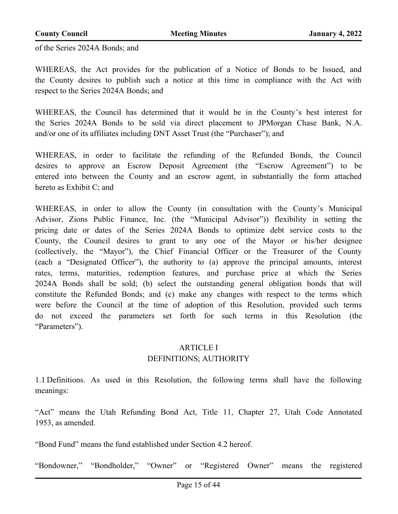of the Series 2024A Bonds; and

WHEREAS, the Act provides for the publication of a Notice of Bonds to be Issued, and the County desires to publish such a notice at this time in compliance with the Act with respect to the Series 2024A Bonds; and

WHEREAS, the Council has determined that it would be in the County's best interest for the Series 2024A Bonds to be sold via direct placement to JPMorgan Chase Bank, N.A. and/or one of its affiliates including DNT Asset Trust (the "Purchaser"); and

WHEREAS, in order to facilitate the refunding of the Refunded Bonds, the Council desires to approve an Escrow Deposit Agreement (the "Escrow Agreement") to be entered into between the County and an escrow agent, in substantially the form attached hereto as Exhibit C; and

WHEREAS, in order to allow the County (in consultation with the County's Municipal Advisor, Zions Public Finance, Inc. (the "Municipal Advisor")) flexibility in setting the pricing date or dates of the Series 2024A Bonds to optimize debt service costs to the County, the Council desires to grant to any one of the Mayor or his/her designee (collectively, the "Mayor"), the Chief Financial Officer or the Treasurer of the County (each a "Designated Officer"), the authority to (a) approve the principal amounts, interest rates, terms, maturities, redemption features, and purchase price at which the Series 2024A Bonds shall be sold; (b) select the outstanding general obligation bonds that will constitute the Refunded Bonds; and (c) make any changes with respect to the terms which were before the Council at the time of adoption of this Resolution, provided such terms do not exceed the parameters set forth for such terms in this Resolution (the "Parameters").

#### ARTICLE I

#### DEFINITIONS; AUTHORITY

1.1 Definitions. As used in this Resolution, the following terms shall have the following meanings:

"Act" means the Utah Refunding Bond Act, Title 11, Chapter 27, Utah Code Annotated 1953, as amended.

"Bond Fund" means the fund established under Section 4.2 hereof.

"Bondowner," "Bondholder," "Owner" or "Registered Owner" means the registered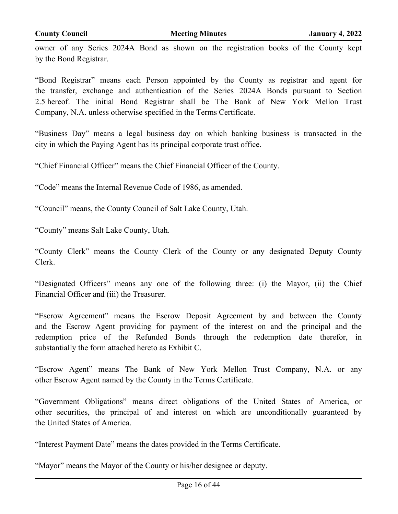owner of any Series 2024A Bond as shown on the registration books of the County kept by the Bond Registrar.

"Bond Registrar" means each Person appointed by the County as registrar and agent for the transfer, exchange and authentication of the Series 2024A Bonds pursuant to Section 2.5 hereof. The initial Bond Registrar shall be The Bank of New York Mellon Trust Company, N.A. unless otherwise specified in the Terms Certificate.

"Business Day" means a legal business day on which banking business is transacted in the city in which the Paying Agent has its principal corporate trust office.

"Chief Financial Officer" means the Chief Financial Officer of the County.

"Code" means the Internal Revenue Code of 1986, as amended.

"Council" means, the County Council of Salt Lake County, Utah.

"County" means Salt Lake County, Utah.

"County Clerk" means the County Clerk of the County or any designated Deputy County Clerk.

"Designated Officers" means any one of the following three: (i) the Mayor, (ii) the Chief Financial Officer and (iii) the Treasurer.

"Escrow Agreement" means the Escrow Deposit Agreement by and between the County and the Escrow Agent providing for payment of the interest on and the principal and the redemption price of the Refunded Bonds through the redemption date therefor, in substantially the form attached hereto as Exhibit C.

"Escrow Agent" means The Bank of New York Mellon Trust Company, N.A. or any other Escrow Agent named by the County in the Terms Certificate.

"Government Obligations" means direct obligations of the United States of America, or other securities, the principal of and interest on which are unconditionally guaranteed by the United States of America.

"Interest Payment Date" means the dates provided in the Terms Certificate.

"Mayor" means the Mayor of the County or his/her designee or deputy.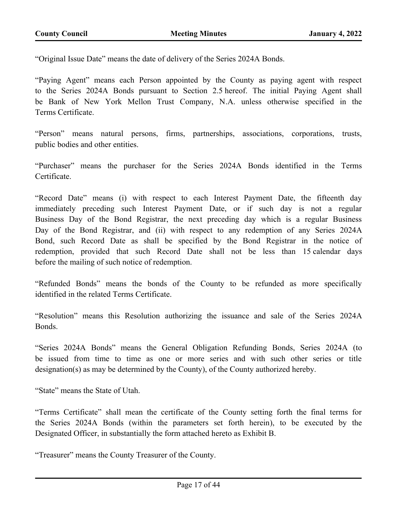"Original Issue Date" means the date of delivery of the Series 2024A Bonds.

"Paying Agent" means each Person appointed by the County as paying agent with respect to the Series 2024A Bonds pursuant to Section 2.5 hereof. The initial Paying Agent shall be Bank of New York Mellon Trust Company, N.A. unless otherwise specified in the Terms Certificate.

"Person" means natural persons, firms, partnerships, associations, corporations, trusts, public bodies and other entities.

"Purchaser" means the purchaser for the Series 2024A Bonds identified in the Terms Certificate.

"Record Date" means (i) with respect to each Interest Payment Date, the fifteenth day immediately preceding such Interest Payment Date, or if such day is not a regular Business Day of the Bond Registrar, the next preceding day which is a regular Business Day of the Bond Registrar, and (ii) with respect to any redemption of any Series 2024A Bond, such Record Date as shall be specified by the Bond Registrar in the notice of redemption, provided that such Record Date shall not be less than 15 calendar days before the mailing of such notice of redemption.

"Refunded Bonds" means the bonds of the County to be refunded as more specifically identified in the related Terms Certificate.

"Resolution" means this Resolution authorizing the issuance and sale of the Series 2024A Bonds.

"Series 2024A Bonds" means the General Obligation Refunding Bonds, Series 2024A (to be issued from time to time as one or more series and with such other series or title designation(s) as may be determined by the County), of the County authorized hereby.

"State" means the State of Utah.

"Terms Certificate" shall mean the certificate of the County setting forth the final terms for the Series 2024A Bonds (within the parameters set forth herein), to be executed by the Designated Officer, in substantially the form attached hereto as Exhibit B.

"Treasurer" means the County Treasurer of the County.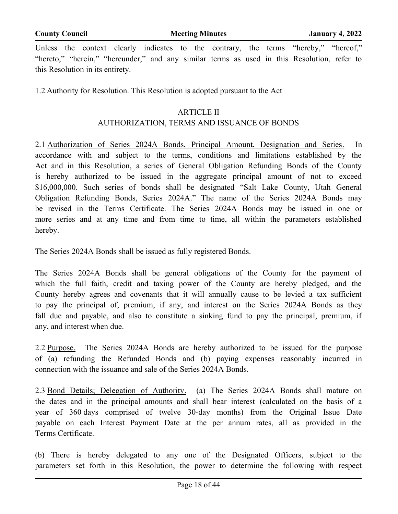Unless the context clearly indicates to the contrary, the terms "hereby," "hereof," "hereto," "herein," "hereunder," and any similar terms as used in this Resolution, refer to this Resolution in its entirety.

1.2 Authority for Resolution. This Resolution is adopted pursuant to the Act

#### ARTICLE II

#### AUTHORIZATION, TERMS AND ISSUANCE OF BONDS

2.1 Authorization of Series 2024A Bonds, Principal Amount, Designation and Series. In accordance with and subject to the terms, conditions and limitations established by the Act and in this Resolution, a series of General Obligation Refunding Bonds of the County is hereby authorized to be issued in the aggregate principal amount of not to exceed \$16,000,000. Such series of bonds shall be designated "Salt Lake County, Utah General Obligation Refunding Bonds, Series 2024A." The name of the Series 2024A Bonds may be revised in the Terms Certificate. The Series 2024A Bonds may be issued in one or more series and at any time and from time to time, all within the parameters established hereby.

The Series 2024A Bonds shall be issued as fully registered Bonds.

The Series 2024A Bonds shall be general obligations of the County for the payment of which the full faith, credit and taxing power of the County are hereby pledged, and the County hereby agrees and covenants that it will annually cause to be levied a tax sufficient to pay the principal of, premium, if any, and interest on the Series 2024A Bonds as they fall due and payable, and also to constitute a sinking fund to pay the principal, premium, if any, and interest when due.

2.2 Purpose. The Series 2024A Bonds are hereby authorized to be issued for the purpose of (a) refunding the Refunded Bonds and (b) paying expenses reasonably incurred in connection with the issuance and sale of the Series 2024A Bonds.

2.3 Bond Details; Delegation of Authority. (a) The Series 2024A Bonds shall mature on the dates and in the principal amounts and shall bear interest (calculated on the basis of a year of 360 days comprised of twelve 30-day months) from the Original Issue Date payable on each Interest Payment Date at the per annum rates, all as provided in the Terms Certificate.

(b) There is hereby delegated to any one of the Designated Officers, subject to the parameters set forth in this Resolution, the power to determine the following with respect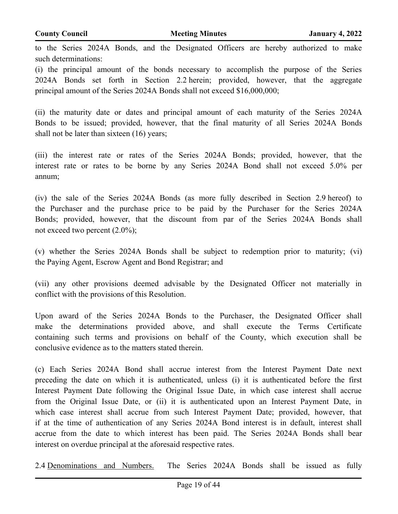to the Series 2024A Bonds, and the Designated Officers are hereby authorized to make such determinations:

(i) the principal amount of the bonds necessary to accomplish the purpose of the Series 2024A Bonds set forth in Section 2.2 herein; provided, however, that the aggregate principal amount of the Series 2024A Bonds shall not exceed \$16,000,000;

(ii) the maturity date or dates and principal amount of each maturity of the Series 2024A Bonds to be issued; provided, however, that the final maturity of all Series 2024A Bonds shall not be later than sixteen (16) years;

(iii) the interest rate or rates of the Series 2024A Bonds; provided, however, that the interest rate or rates to be borne by any Series 2024A Bond shall not exceed 5.0% per annum;

(iv) the sale of the Series 2024A Bonds (as more fully described in Section 2.9 hereof) to the Purchaser and the purchase price to be paid by the Purchaser for the Series 2024A Bonds; provided, however, that the discount from par of the Series 2024A Bonds shall not exceed two percent (2.0%);

(v) whether the Series 2024A Bonds shall be subject to redemption prior to maturity; (vi) the Paying Agent, Escrow Agent and Bond Registrar; and

(vii) any other provisions deemed advisable by the Designated Officer not materially in conflict with the provisions of this Resolution.

Upon award of the Series 2024A Bonds to the Purchaser, the Designated Officer shall make the determinations provided above, and shall execute the Terms Certificate containing such terms and provisions on behalf of the County, which execution shall be conclusive evidence as to the matters stated therein.

(c) Each Series 2024A Bond shall accrue interest from the Interest Payment Date next preceding the date on which it is authenticated, unless (i) it is authenticated before the first Interest Payment Date following the Original Issue Date, in which case interest shall accrue from the Original Issue Date, or (ii) it is authenticated upon an Interest Payment Date, in which case interest shall accrue from such Interest Payment Date; provided, however, that if at the time of authentication of any Series 2024A Bond interest is in default, interest shall accrue from the date to which interest has been paid. The Series 2024A Bonds shall bear interest on overdue principal at the aforesaid respective rates.

2.4 Denominations and Numbers. The Series 2024A Bonds shall be issued as fully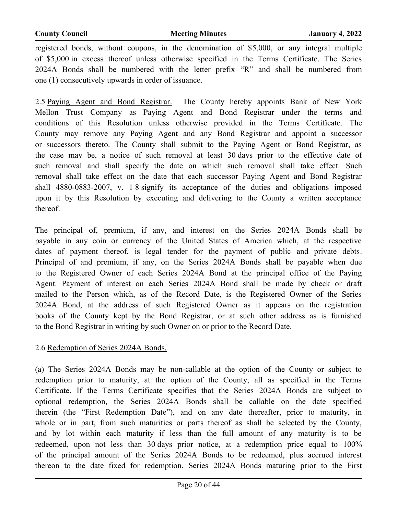registered bonds, without coupons, in the denomination of \$5,000, or any integral multiple of \$5,000 in excess thereof unless otherwise specified in the Terms Certificate. The Series 2024A Bonds shall be numbered with the letter prefix "R" and shall be numbered from one (1) consecutively upwards in order of issuance.

2.5 Paying Agent and Bond Registrar. The County hereby appoints Bank of New York Mellon Trust Company as Paying Agent and Bond Registrar under the terms and conditions of this Resolution unless otherwise provided in the Terms Certificate. The County may remove any Paying Agent and any Bond Registrar and appoint a successor or successors thereto. The County shall submit to the Paying Agent or Bond Registrar, as the case may be, a notice of such removal at least 30 days prior to the effective date of such removal and shall specify the date on which such removal shall take effect. Such removal shall take effect on the date that each successor Paying Agent and Bond Registrar shall 4880-0883-2007, v. 1 8 signify its acceptance of the duties and obligations imposed upon it by this Resolution by executing and delivering to the County a written acceptance thereof.

The principal of, premium, if any, and interest on the Series 2024A Bonds shall be payable in any coin or currency of the United States of America which, at the respective dates of payment thereof, is legal tender for the payment of public and private debts. Principal of and premium, if any, on the Series 2024A Bonds shall be payable when due to the Registered Owner of each Series 2024A Bond at the principal office of the Paying Agent. Payment of interest on each Series 2024A Bond shall be made by check or draft mailed to the Person which, as of the Record Date, is the Registered Owner of the Series 2024A Bond, at the address of such Registered Owner as it appears on the registration books of the County kept by the Bond Registrar, or at such other address as is furnished to the Bond Registrar in writing by such Owner on or prior to the Record Date.

#### 2.6 Redemption of Series 2024A Bonds.

(a) The Series 2024A Bonds may be non-callable at the option of the County or subject to redemption prior to maturity, at the option of the County, all as specified in the Terms Certificate. If the Terms Certificate specifies that the Series 2024A Bonds are subject to optional redemption, the Series 2024A Bonds shall be callable on the date specified therein (the "First Redemption Date"), and on any date thereafter, prior to maturity, in whole or in part, from such maturities or parts thereof as shall be selected by the County, and by lot within each maturity if less than the full amount of any maturity is to be redeemed, upon not less than 30 days prior notice, at a redemption price equal to 100% of the principal amount of the Series 2024A Bonds to be redeemed, plus accrued interest thereon to the date fixed for redemption. Series 2024A Bonds maturing prior to the First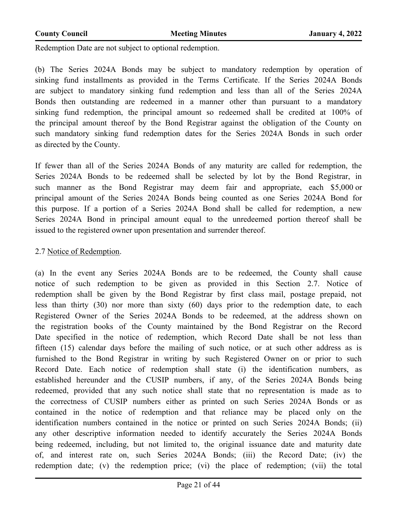Redemption Date are not subject to optional redemption.

(b) The Series 2024A Bonds may be subject to mandatory redemption by operation of sinking fund installments as provided in the Terms Certificate. If the Series 2024A Bonds are subject to mandatory sinking fund redemption and less than all of the Series 2024A Bonds then outstanding are redeemed in a manner other than pursuant to a mandatory sinking fund redemption, the principal amount so redeemed shall be credited at 100% of the principal amount thereof by the Bond Registrar against the obligation of the County on such mandatory sinking fund redemption dates for the Series 2024A Bonds in such order as directed by the County.

If fewer than all of the Series 2024A Bonds of any maturity are called for redemption, the Series 2024A Bonds to be redeemed shall be selected by lot by the Bond Registrar, in such manner as the Bond Registrar may deem fair and appropriate, each \$5,000 or principal amount of the Series 2024A Bonds being counted as one Series 2024A Bond for this purpose. If a portion of a Series 2024A Bond shall be called for redemption, a new Series 2024A Bond in principal amount equal to the unredeemed portion thereof shall be issued to the registered owner upon presentation and surrender thereof.

#### 2.7 Notice of Redemption.

(a) In the event any Series 2024A Bonds are to be redeemed, the County shall cause notice of such redemption to be given as provided in this Section 2.7. Notice of redemption shall be given by the Bond Registrar by first class mail, postage prepaid, not less than thirty (30) nor more than sixty (60) days prior to the redemption date, to each Registered Owner of the Series 2024A Bonds to be redeemed, at the address shown on the registration books of the County maintained by the Bond Registrar on the Record Date specified in the notice of redemption, which Record Date shall be not less than fifteen (15) calendar days before the mailing of such notice, or at such other address as is furnished to the Bond Registrar in writing by such Registered Owner on or prior to such Record Date. Each notice of redemption shall state (i) the identification numbers, as established hereunder and the CUSIP numbers, if any, of the Series 2024A Bonds being redeemed, provided that any such notice shall state that no representation is made as to the correctness of CUSIP numbers either as printed on such Series 2024A Bonds or as contained in the notice of redemption and that reliance may be placed only on the identification numbers contained in the notice or printed on such Series 2024A Bonds; (ii) any other descriptive information needed to identify accurately the Series 2024A Bonds being redeemed, including, but not limited to, the original issuance date and maturity date of, and interest rate on, such Series 2024A Bonds; (iii) the Record Date; (iv) the redemption date; (v) the redemption price; (vi) the place of redemption; (vii) the total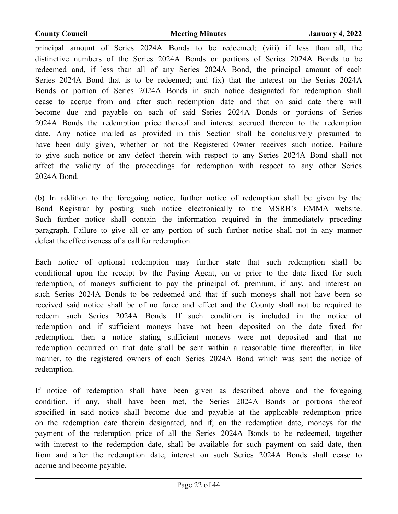principal amount of Series 2024A Bonds to be redeemed; (viii) if less than all, the distinctive numbers of the Series 2024A Bonds or portions of Series 2024A Bonds to be redeemed and, if less than all of any Series 2024A Bond, the principal amount of each Series 2024A Bond that is to be redeemed; and (ix) that the interest on the Series 2024A Bonds or portion of Series 2024A Bonds in such notice designated for redemption shall cease to accrue from and after such redemption date and that on said date there will become due and payable on each of said Series 2024A Bonds or portions of Series 2024A Bonds the redemption price thereof and interest accrued thereon to the redemption date. Any notice mailed as provided in this Section shall be conclusively presumed to have been duly given, whether or not the Registered Owner receives such notice. Failure to give such notice or any defect therein with respect to any Series 2024A Bond shall not affect the validity of the proceedings for redemption with respect to any other Series 2024A Bond.

(b) In addition to the foregoing notice, further notice of redemption shall be given by the Bond Registrar by posting such notice electronically to the MSRB's EMMA website. Such further notice shall contain the information required in the immediately preceding paragraph. Failure to give all or any portion of such further notice shall not in any manner defeat the effectiveness of a call for redemption.

Each notice of optional redemption may further state that such redemption shall be conditional upon the receipt by the Paying Agent, on or prior to the date fixed for such redemption, of moneys sufficient to pay the principal of, premium, if any, and interest on such Series 2024A Bonds to be redeemed and that if such moneys shall not have been so received said notice shall be of no force and effect and the County shall not be required to redeem such Series 2024A Bonds. If such condition is included in the notice of redemption and if sufficient moneys have not been deposited on the date fixed for redemption, then a notice stating sufficient moneys were not deposited and that no redemption occurred on that date shall be sent within a reasonable time thereafter, in like manner, to the registered owners of each Series 2024A Bond which was sent the notice of redemption.

If notice of redemption shall have been given as described above and the foregoing condition, if any, shall have been met, the Series 2024A Bonds or portions thereof specified in said notice shall become due and payable at the applicable redemption price on the redemption date therein designated, and if, on the redemption date, moneys for the payment of the redemption price of all the Series 2024A Bonds to be redeemed, together with interest to the redemption date, shall be available for such payment on said date, then from and after the redemption date, interest on such Series 2024A Bonds shall cease to accrue and become payable.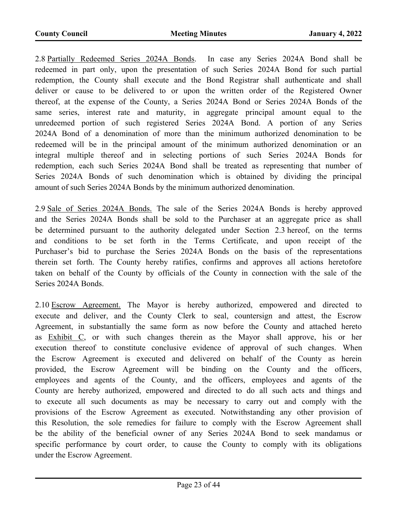2.8 Partially Redeemed Series 2024A Bonds. In case any Series 2024A Bond shall be redeemed in part only, upon the presentation of such Series 2024A Bond for such partial redemption, the County shall execute and the Bond Registrar shall authenticate and shall deliver or cause to be delivered to or upon the written order of the Registered Owner thereof, at the expense of the County, a Series 2024A Bond or Series 2024A Bonds of the same series, interest rate and maturity, in aggregate principal amount equal to the unredeemed portion of such registered Series 2024A Bond. A portion of any Series 2024A Bond of a denomination of more than the minimum authorized denomination to be redeemed will be in the principal amount of the minimum authorized denomination or an integral multiple thereof and in selecting portions of such Series 2024A Bonds for redemption, each such Series 2024A Bond shall be treated as representing that number of Series 2024A Bonds of such denomination which is obtained by dividing the principal amount of such Series 2024A Bonds by the minimum authorized denomination.

2.9 Sale of Series 2024A Bonds. The sale of the Series 2024A Bonds is hereby approved and the Series 2024A Bonds shall be sold to the Purchaser at an aggregate price as shall be determined pursuant to the authority delegated under Section 2.3 hereof, on the terms and conditions to be set forth in the Terms Certificate, and upon receipt of the Purchaser's bid to purchase the Series 2024A Bonds on the basis of the representations therein set forth. The County hereby ratifies, confirms and approves all actions heretofore taken on behalf of the County by officials of the County in connection with the sale of the Series 2024A Bonds.

2.10 Escrow Agreement. The Mayor is hereby authorized, empowered and directed to execute and deliver, and the County Clerk to seal, countersign and attest, the Escrow Agreement, in substantially the same form as now before the County and attached hereto as Exhibit C, or with such changes therein as the Mayor shall approve, his or her execution thereof to constitute conclusive evidence of approval of such changes. When the Escrow Agreement is executed and delivered on behalf of the County as herein provided, the Escrow Agreement will be binding on the County and the officers, employees and agents of the County, and the officers, employees and agents of the County are hereby authorized, empowered and directed to do all such acts and things and to execute all such documents as may be necessary to carry out and comply with the provisions of the Escrow Agreement as executed. Notwithstanding any other provision of this Resolution, the sole remedies for failure to comply with the Escrow Agreement shall be the ability of the beneficial owner of any Series 2024A Bond to seek mandamus or specific performance by court order, to cause the County to comply with its obligations under the Escrow Agreement.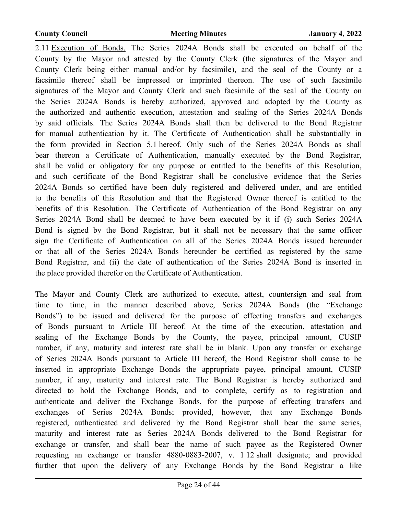2.11 Execution of Bonds. The Series 2024A Bonds shall be executed on behalf of the County by the Mayor and attested by the County Clerk (the signatures of the Mayor and County Clerk being either manual and/or by facsimile), and the seal of the County or a facsimile thereof shall be impressed or imprinted thereon. The use of such facsimile signatures of the Mayor and County Clerk and such facsimile of the seal of the County on the Series 2024A Bonds is hereby authorized, approved and adopted by the County as the authorized and authentic execution, attestation and sealing of the Series 2024A Bonds by said officials. The Series 2024A Bonds shall then be delivered to the Bond Registrar for manual authentication by it. The Certificate of Authentication shall be substantially in the form provided in Section 5.1 hereof. Only such of the Series 2024A Bonds as shall bear thereon a Certificate of Authentication, manually executed by the Bond Registrar, shall be valid or obligatory for any purpose or entitled to the benefits of this Resolution, and such certificate of the Bond Registrar shall be conclusive evidence that the Series 2024A Bonds so certified have been duly registered and delivered under, and are entitled to the benefits of this Resolution and that the Registered Owner thereof is entitled to the benefits of this Resolution. The Certificate of Authentication of the Bond Registrar on any Series 2024A Bond shall be deemed to have been executed by it if (i) such Series 2024A Bond is signed by the Bond Registrar, but it shall not be necessary that the same officer sign the Certificate of Authentication on all of the Series 2024A Bonds issued hereunder or that all of the Series 2024A Bonds hereunder be certified as registered by the same Bond Registrar, and (ii) the date of authentication of the Series 2024A Bond is inserted in the place provided therefor on the Certificate of Authentication.

The Mayor and County Clerk are authorized to execute, attest, countersign and seal from time to time, in the manner described above, Series 2024A Bonds (the "Exchange Bonds") to be issued and delivered for the purpose of effecting transfers and exchanges of Bonds pursuant to Article III hereof. At the time of the execution, attestation and sealing of the Exchange Bonds by the County, the payee, principal amount, CUSIP number, if any, maturity and interest rate shall be in blank. Upon any transfer or exchange of Series 2024A Bonds pursuant to Article III hereof, the Bond Registrar shall cause to be inserted in appropriate Exchange Bonds the appropriate payee, principal amount, CUSIP number, if any, maturity and interest rate. The Bond Registrar is hereby authorized and directed to hold the Exchange Bonds, and to complete, certify as to registration and authenticate and deliver the Exchange Bonds, for the purpose of effecting transfers and exchanges of Series 2024A Bonds; provided, however, that any Exchange Bonds registered, authenticated and delivered by the Bond Registrar shall bear the same series, maturity and interest rate as Series 2024A Bonds delivered to the Bond Registrar for exchange or transfer, and shall bear the name of such payee as the Registered Owner requesting an exchange or transfer 4880-0883-2007, v. 1 12 shall designate; and provided further that upon the delivery of any Exchange Bonds by the Bond Registrar a like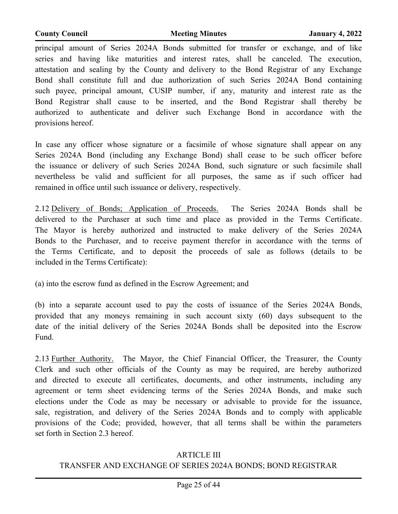principal amount of Series 2024A Bonds submitted for transfer or exchange, and of like series and having like maturities and interest rates, shall be canceled. The execution, attestation and sealing by the County and delivery to the Bond Registrar of any Exchange Bond shall constitute full and due authorization of such Series 2024A Bond containing such payee, principal amount, CUSIP number, if any, maturity and interest rate as the Bond Registrar shall cause to be inserted, and the Bond Registrar shall thereby be authorized to authenticate and deliver such Exchange Bond in accordance with the provisions hereof.

In case any officer whose signature or a facsimile of whose signature shall appear on any Series 2024A Bond (including any Exchange Bond) shall cease to be such officer before the issuance or delivery of such Series 2024A Bond, such signature or such facsimile shall nevertheless be valid and sufficient for all purposes, the same as if such officer had remained in office until such issuance or delivery, respectively.

2.12 Delivery of Bonds; Application of Proceeds. The Series 2024A Bonds shall be delivered to the Purchaser at such time and place as provided in the Terms Certificate. The Mayor is hereby authorized and instructed to make delivery of the Series 2024A Bonds to the Purchaser, and to receive payment therefor in accordance with the terms of the Terms Certificate, and to deposit the proceeds of sale as follows (details to be included in the Terms Certificate):

(a) into the escrow fund as defined in the Escrow Agreement; and

(b) into a separate account used to pay the costs of issuance of the Series 2024A Bonds, provided that any moneys remaining in such account sixty (60) days subsequent to the date of the initial delivery of the Series 2024A Bonds shall be deposited into the Escrow Fund.

2.13 Further Authority. The Mayor, the Chief Financial Officer, the Treasurer, the County Clerk and such other officials of the County as may be required, are hereby authorized and directed to execute all certificates, documents, and other instruments, including any agreement or term sheet evidencing terms of the Series 2024A Bonds, and make such elections under the Code as may be necessary or advisable to provide for the issuance, sale, registration, and delivery of the Series 2024A Bonds and to comply with applicable provisions of the Code; provided, however, that all terms shall be within the parameters set forth in Section 2.3 hereof.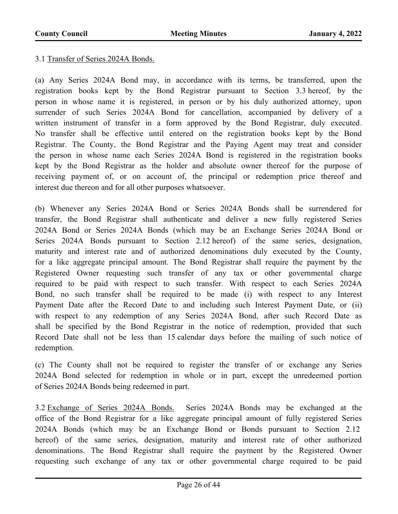#### 3.1 Transfer of Series 2024A Bonds.

(a) Any Series 2024A Bond may, in accordance with its terms, be transferred, upon the registration books kept by the Bond Registrar pursuant to Section 3.3 hereof, by the person in whose name it is registered, in person or by his duly authorized attorney, upon surrender of such Series 2024A Bond for cancellation, accompanied by delivery of a written instrument of transfer in a form approved by the Bond Registrar, duly executed. No transfer shall be effective until entered on the registration books kept by the Bond Registrar. The County, the Bond Registrar and the Paying Agent may treat and consider the person in whose name each Series 2024A Bond is registered in the registration books kept by the Bond Registrar as the holder and absolute owner thereof for the purpose of receiving payment of, or on account of, the principal or redemption price thereof and interest due thereon and for all other purposes whatsoever.

(b) Whenever any Series 2024A Bond or Series 2024A Bonds shall be surrendered for transfer, the Bond Registrar shall authenticate and deliver a new fully registered Series 2024A Bond or Series 2024A Bonds (which may be an Exchange Series 2024A Bond or Series 2024A Bonds pursuant to Section 2.12 hereof) of the same series, designation, maturity and interest rate and of authorized denominations duly executed by the County, for a like aggregate principal amount. The Bond Registrar shall require the payment by the Registered Owner requesting such transfer of any tax or other governmental charge required to be paid with respect to such transfer. With respect to each Series 2024A Bond, no such transfer shall be required to be made (i) with respect to any Interest Payment Date after the Record Date to and including such Interest Payment Date, or (ii) with respect to any redemption of any Series 2024A Bond, after such Record Date as shall be specified by the Bond Registrar in the notice of redemption, provided that such Record Date shall not be less than 15 calendar days before the mailing of such notice of redemption.

(c) The County shall not be required to register the transfer of or exchange any Series 2024A Bond selected for redemption in whole or in part, except the unredeemed portion of Series 2024A Bonds being redeemed in part.

3.2 Exchange of Series 2024A Bonds. Series 2024A Bonds may be exchanged at the office of the Bond Registrar for a like aggregate principal amount of fully registered Series 2024A Bonds (which may be an Exchange Bond or Bonds pursuant to Section 2.12 hereof) of the same series, designation, maturity and interest rate of other authorized denominations. The Bond Registrar shall require the payment by the Registered Owner requesting such exchange of any tax or other governmental charge required to be paid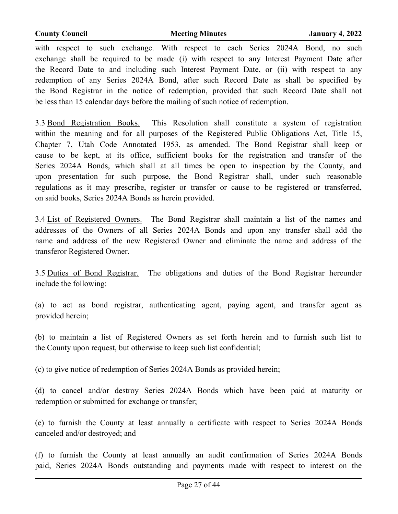with respect to such exchange. With respect to each Series 2024A Bond, no such exchange shall be required to be made (i) with respect to any Interest Payment Date after the Record Date to and including such Interest Payment Date, or (ii) with respect to any redemption of any Series 2024A Bond, after such Record Date as shall be specified by the Bond Registrar in the notice of redemption, provided that such Record Date shall not be less than 15 calendar days before the mailing of such notice of redemption.

3.3 Bond Registration Books. This Resolution shall constitute a system of registration within the meaning and for all purposes of the Registered Public Obligations Act, Title 15, Chapter 7, Utah Code Annotated 1953, as amended. The Bond Registrar shall keep or cause to be kept, at its office, sufficient books for the registration and transfer of the Series 2024A Bonds, which shall at all times be open to inspection by the County, and upon presentation for such purpose, the Bond Registrar shall, under such reasonable regulations as it may prescribe, register or transfer or cause to be registered or transferred, on said books, Series 2024A Bonds as herein provided.

3.4 List of Registered Owners. The Bond Registrar shall maintain a list of the names and addresses of the Owners of all Series 2024A Bonds and upon any transfer shall add the name and address of the new Registered Owner and eliminate the name and address of the transferor Registered Owner.

3.5 Duties of Bond Registrar. The obligations and duties of the Bond Registrar hereunder include the following:

(a) to act as bond registrar, authenticating agent, paying agent, and transfer agent as provided herein;

(b) to maintain a list of Registered Owners as set forth herein and to furnish such list to the County upon request, but otherwise to keep such list confidential;

(c) to give notice of redemption of Series 2024A Bonds as provided herein;

(d) to cancel and/or destroy Series 2024A Bonds which have been paid at maturity or redemption or submitted for exchange or transfer;

(e) to furnish the County at least annually a certificate with respect to Series 2024A Bonds canceled and/or destroyed; and

(f) to furnish the County at least annually an audit confirmation of Series 2024A Bonds paid, Series 2024A Bonds outstanding and payments made with respect to interest on the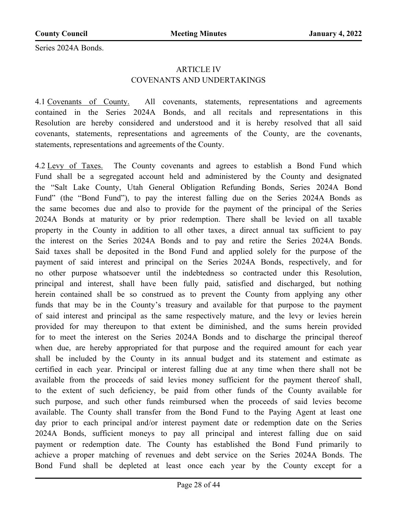Series 2024A Bonds.

#### ARTICLE IV COVENANTS AND UNDERTAKINGS

4.1 Covenants of County. All covenants, statements, representations and agreements contained in the Series 2024A Bonds, and all recitals and representations in this Resolution are hereby considered and understood and it is hereby resolved that all said covenants, statements, representations and agreements of the County, are the covenants, statements, representations and agreements of the County.

4.2 Levy of Taxes. The County covenants and agrees to establish a Bond Fund which Fund shall be a segregated account held and administered by the County and designated the "Salt Lake County, Utah General Obligation Refunding Bonds, Series 2024A Bond Fund" (the "Bond Fund"), to pay the interest falling due on the Series 2024A Bonds as the same becomes due and also to provide for the payment of the principal of the Series 2024A Bonds at maturity or by prior redemption. There shall be levied on all taxable property in the County in addition to all other taxes, a direct annual tax sufficient to pay the interest on the Series 2024A Bonds and to pay and retire the Series 2024A Bonds. Said taxes shall be deposited in the Bond Fund and applied solely for the purpose of the payment of said interest and principal on the Series 2024A Bonds, respectively, and for no other purpose whatsoever until the indebtedness so contracted under this Resolution, principal and interest, shall have been fully paid, satisfied and discharged, but nothing herein contained shall be so construed as to prevent the County from applying any other funds that may be in the County's treasury and available for that purpose to the payment of said interest and principal as the same respectively mature, and the levy or levies herein provided for may thereupon to that extent be diminished, and the sums herein provided for to meet the interest on the Series 2024A Bonds and to discharge the principal thereof when due, are hereby appropriated for that purpose and the required amount for each year shall be included by the County in its annual budget and its statement and estimate as certified in each year. Principal or interest falling due at any time when there shall not be available from the proceeds of said levies money sufficient for the payment thereof shall, to the extent of such deficiency, be paid from other funds of the County available for such purpose, and such other funds reimbursed when the proceeds of said levies become available. The County shall transfer from the Bond Fund to the Paying Agent at least one day prior to each principal and/or interest payment date or redemption date on the Series 2024A Bonds, sufficient moneys to pay all principal and interest falling due on said payment or redemption date. The County has established the Bond Fund primarily to achieve a proper matching of revenues and debt service on the Series 2024A Bonds. The Bond Fund shall be depleted at least once each year by the County except for a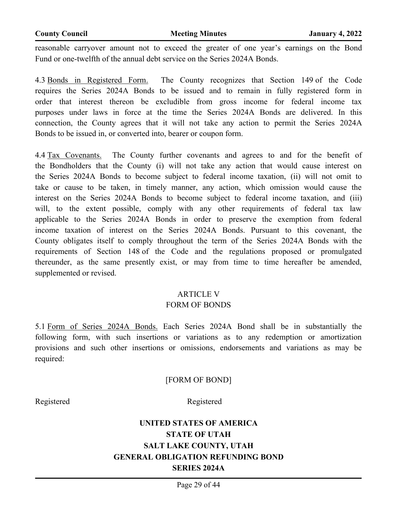reasonable carryover amount not to exceed the greater of one year's earnings on the Bond Fund or one-twelfth of the annual debt service on the Series 2024A Bonds.

4.3 Bonds in Registered Form. The County recognizes that Section 149 of the Code requires the Series 2024A Bonds to be issued and to remain in fully registered form in order that interest thereon be excludible from gross income for federal income tax purposes under laws in force at the time the Series 2024A Bonds are delivered. In this connection, the County agrees that it will not take any action to permit the Series 2024A Bonds to be issued in, or converted into, bearer or coupon form.

4.4 Tax Covenants. The County further covenants and agrees to and for the benefit of the Bondholders that the County (i) will not take any action that would cause interest on the Series 2024A Bonds to become subject to federal income taxation, (ii) will not omit to take or cause to be taken, in timely manner, any action, which omission would cause the interest on the Series 2024A Bonds to become subject to federal income taxation, and (iii) will, to the extent possible, comply with any other requirements of federal tax law applicable to the Series 2024A Bonds in order to preserve the exemption from federal income taxation of interest on the Series 2024A Bonds. Pursuant to this covenant, the County obligates itself to comply throughout the term of the Series 2024A Bonds with the requirements of Section 148 of the Code and the regulations proposed or promulgated thereunder, as the same presently exist, or may from time to time hereafter be amended, supplemented or revised.

#### ARTICLE V

#### FORM OF BONDS

5.1 Form of Series 2024A Bonds. Each Series 2024A Bond shall be in substantially the following form, with such insertions or variations as to any redemption or amortization provisions and such other insertions or omissions, endorsements and variations as may be required:

#### [FORM OF BOND]

Registered Registered

## **UNITED STATES OF AMERICA STATE OF UTAH SALT LAKE COUNTY, UTAH GENERAL OBLIGATION REFUNDING BOND SERIES 2024A**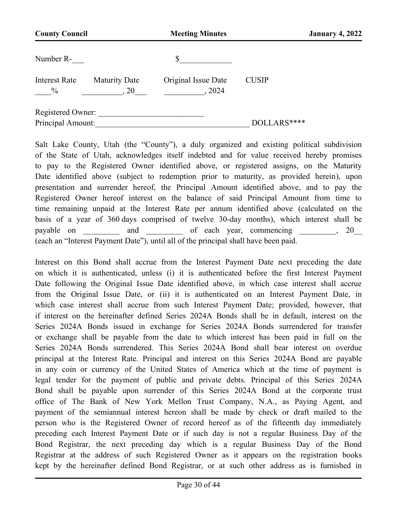| <b>County Council</b>                 |                              | <b>Meeting Minutes</b>        |              | <b>January 4, 2022</b> |
|---------------------------------------|------------------------------|-------------------------------|--------------|------------------------|
| Number R-                             |                              | \$                            |              |                        |
| <b>Interest Rate</b><br>$\frac{0}{0}$ | <b>Maturity Date</b><br>, 20 | Original Issue Date<br>, 2024 | <b>CUSIP</b> |                        |
| Registered Owner:                     |                              |                               |              |                        |
| Principal Amount:                     |                              |                               | DOLLARS****  |                        |

Salt Lake County, Utah (the "County"), a duly organized and existing political subdivision of the State of Utah, acknowledges itself indebted and for value received hereby promises to pay to the Registered Owner identified above, or registered assigns, on the Maturity Date identified above (subject to redemption prior to maturity, as provided herein), upon presentation and surrender hereof, the Principal Amount identified above, and to pay the Registered Owner hereof interest on the balance of said Principal Amount from time to time remaining unpaid at the Interest Rate per annum identified above (calculated on the basis of a year of 360 days comprised of twelve 30-day months), which interest shall be payable on and and of each year, commencing , 20 (each an "Interest Payment Date"), until all of the principal shall have been paid.

Interest on this Bond shall accrue from the Interest Payment Date next preceding the date on which it is authenticated, unless (i) it is authenticated before the first Interest Payment Date following the Original Issue Date identified above, in which case interest shall accrue from the Original Issue Date, or (ii) it is authenticated on an Interest Payment Date, in which case interest shall accrue from such Interest Payment Date; provided, however, that if interest on the hereinafter defined Series 2024A Bonds shall be in default, interest on the Series 2024A Bonds issued in exchange for Series 2024A Bonds surrendered for transfer or exchange shall be payable from the date to which interest has been paid in full on the Series 2024A Bonds surrendered. This Series 2024A Bond shall bear interest on overdue principal at the Interest Rate. Principal and interest on this Series 2024A Bond are payable in any coin or currency of the United States of America which at the time of payment is legal tender for the payment of public and private debts. Principal of this Series 2024A Bond shall be payable upon surrender of this Series 2024A Bond at the corporate trust office of The Bank of New York Mellon Trust Company, N.A., as Paying Agent, and payment of the semiannual interest hereon shall be made by check or draft mailed to the person who is the Registered Owner of record hereof as of the fifteenth day immediately preceding each Interest Payment Date or if such day is not a regular Business Day of the Bond Registrar, the next preceding day which is a regular Business Day of the Bond Registrar at the address of such Registered Owner as it appears on the registration books kept by the hereinafter defined Bond Registrar, or at such other address as is furnished in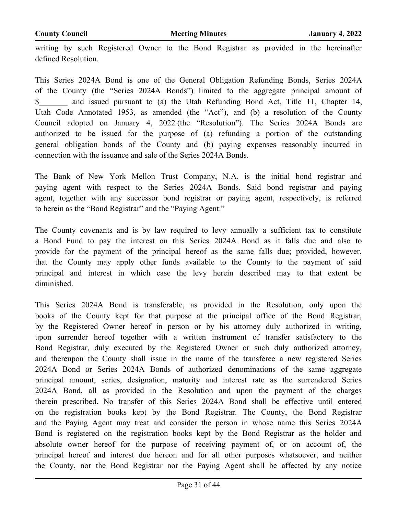writing by such Registered Owner to the Bond Registrar as provided in the hereinafter defined Resolution.

This Series 2024A Bond is one of the General Obligation Refunding Bonds, Series 2024A of the County (the "Series 2024A Bonds") limited to the aggregate principal amount of \$\_\_\_\_\_\_\_ and issued pursuant to (a) the Utah Refunding Bond Act, Title 11, Chapter 14, Utah Code Annotated 1953, as amended (the "Act"), and (b) a resolution of the County Council adopted on January 4, 2022 (the "Resolution"). The Series 2024A Bonds are authorized to be issued for the purpose of (a) refunding a portion of the outstanding general obligation bonds of the County and (b) paying expenses reasonably incurred in connection with the issuance and sale of the Series 2024A Bonds.

The Bank of New York Mellon Trust Company, N.A. is the initial bond registrar and paying agent with respect to the Series 2024A Bonds. Said bond registrar and paying agent, together with any successor bond registrar or paying agent, respectively, is referred to herein as the "Bond Registrar" and the "Paying Agent."

The County covenants and is by law required to levy annually a sufficient tax to constitute a Bond Fund to pay the interest on this Series 2024A Bond as it falls due and also to provide for the payment of the principal hereof as the same falls due; provided, however, that the County may apply other funds available to the County to the payment of said principal and interest in which case the levy herein described may to that extent be diminished.

This Series 2024A Bond is transferable, as provided in the Resolution, only upon the books of the County kept for that purpose at the principal office of the Bond Registrar, by the Registered Owner hereof in person or by his attorney duly authorized in writing, upon surrender hereof together with a written instrument of transfer satisfactory to the Bond Registrar, duly executed by the Registered Owner or such duly authorized attorney, and thereupon the County shall issue in the name of the transferee a new registered Series 2024A Bond or Series 2024A Bonds of authorized denominations of the same aggregate principal amount, series, designation, maturity and interest rate as the surrendered Series 2024A Bond, all as provided in the Resolution and upon the payment of the charges therein prescribed. No transfer of this Series 2024A Bond shall be effective until entered on the registration books kept by the Bond Registrar. The County, the Bond Registrar and the Paying Agent may treat and consider the person in whose name this Series 2024A Bond is registered on the registration books kept by the Bond Registrar as the holder and absolute owner hereof for the purpose of receiving payment of, or on account of, the principal hereof and interest due hereon and for all other purposes whatsoever, and neither the County, nor the Bond Registrar nor the Paying Agent shall be affected by any notice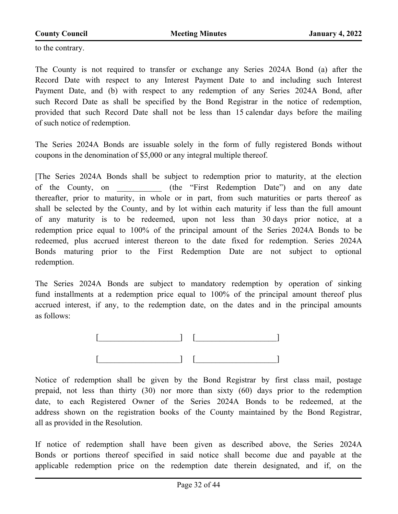to the contrary.

The County is not required to transfer or exchange any Series 2024A Bond (a) after the Record Date with respect to any Interest Payment Date to and including such Interest Payment Date, and (b) with respect to any redemption of any Series 2024A Bond, after such Record Date as shall be specified by the Bond Registrar in the notice of redemption, provided that such Record Date shall not be less than 15 calendar days before the mailing of such notice of redemption.

The Series 2024A Bonds are issuable solely in the form of fully registered Bonds without coupons in the denomination of \$5,000 or any integral multiple thereof.

[The Series 2024A Bonds shall be subject to redemption prior to maturity, at the election of the County, on \_\_\_\_\_\_\_\_\_\_\_ (the "First Redemption Date") and on any date thereafter, prior to maturity, in whole or in part, from such maturities or parts thereof as shall be selected by the County, and by lot within each maturity if less than the full amount of any maturity is to be redeemed, upon not less than 30 days prior notice, at a redemption price equal to 100% of the principal amount of the Series 2024A Bonds to be redeemed, plus accrued interest thereon to the date fixed for redemption. Series 2024A Bonds maturing prior to the First Redemption Date are not subject to optional redemption.

The Series 2024A Bonds are subject to mandatory redemption by operation of sinking fund installments at a redemption price equal to 100% of the principal amount thereof plus accrued interest, if any, to the redemption date, on the dates and in the principal amounts as follows:



Notice of redemption shall be given by the Bond Registrar by first class mail, postage prepaid, not less than thirty (30) nor more than sixty (60) days prior to the redemption date, to each Registered Owner of the Series 2024A Bonds to be redeemed, at the address shown on the registration books of the County maintained by the Bond Registrar, all as provided in the Resolution.

If notice of redemption shall have been given as described above, the Series 2024A Bonds or portions thereof specified in said notice shall become due and payable at the applicable redemption price on the redemption date therein designated, and if, on the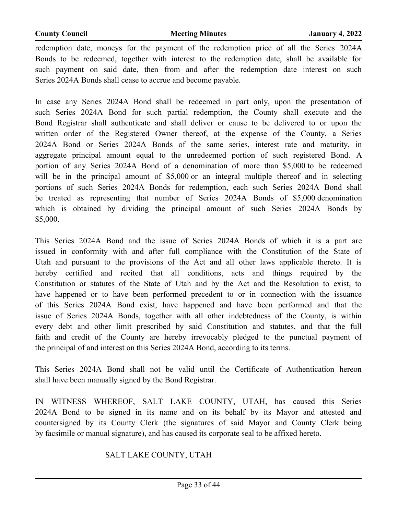redemption date, moneys for the payment of the redemption price of all the Series 2024A Bonds to be redeemed, together with interest to the redemption date, shall be available for such payment on said date, then from and after the redemption date interest on such Series 2024A Bonds shall cease to accrue and become payable.

In case any Series 2024A Bond shall be redeemed in part only, upon the presentation of such Series 2024A Bond for such partial redemption, the County shall execute and the Bond Registrar shall authenticate and shall deliver or cause to be delivered to or upon the written order of the Registered Owner thereof, at the expense of the County, a Series 2024A Bond or Series 2024A Bonds of the same series, interest rate and maturity, in aggregate principal amount equal to the unredeemed portion of such registered Bond. A portion of any Series 2024A Bond of a denomination of more than \$5,000 to be redeemed will be in the principal amount of \$5,000 or an integral multiple thereof and in selecting portions of such Series 2024A Bonds for redemption, each such Series 2024A Bond shall be treated as representing that number of Series 2024A Bonds of \$5,000 denomination which is obtained by dividing the principal amount of such Series 2024A Bonds by \$5,000.

This Series 2024A Bond and the issue of Series 2024A Bonds of which it is a part are issued in conformity with and after full compliance with the Constitution of the State of Utah and pursuant to the provisions of the Act and all other laws applicable thereto. It is hereby certified and recited that all conditions, acts and things required by the Constitution or statutes of the State of Utah and by the Act and the Resolution to exist, to have happened or to have been performed precedent to or in connection with the issuance of this Series 2024A Bond exist, have happened and have been performed and that the issue of Series 2024A Bonds, together with all other indebtedness of the County, is within every debt and other limit prescribed by said Constitution and statutes, and that the full faith and credit of the County are hereby irrevocably pledged to the punctual payment of the principal of and interest on this Series 2024A Bond, according to its terms.

This Series 2024A Bond shall not be valid until the Certificate of Authentication hereon shall have been manually signed by the Bond Registrar.

IN WITNESS WHEREOF, SALT LAKE COUNTY, UTAH, has caused this Series 2024A Bond to be signed in its name and on its behalf by its Mayor and attested and countersigned by its County Clerk (the signatures of said Mayor and County Clerk being by facsimile or manual signature), and has caused its corporate seal to be affixed hereto.

#### SALT LAKE COUNTY, UTAH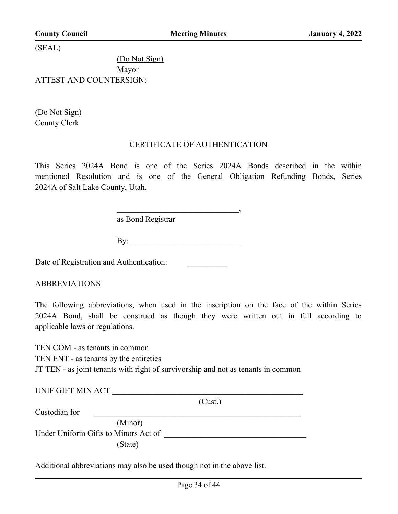(SEAL)

(Do Not Sign) Mayor ATTEST AND COUNTERSIGN:

(Do Not Sign) County Clerk

#### CERTIFICATE OF AUTHENTICATION

This Series 2024A Bond is one of the Series 2024A Bonds described in the within mentioned Resolution and is one of the General Obligation Refunding Bonds, Series 2024A of Salt Lake County, Utah.

as Bond Registrar

By: \_\_\_\_\_\_\_\_\_\_\_\_\_\_\_\_\_\_\_\_\_\_\_\_\_\_\_

 $\overline{\phantom{a}}$ 

Date of Registration and Authentication:

ABBREVIATIONS

The following abbreviations, when used in the inscription on the face of the within Series 2024A Bond, shall be construed as though they were written out in full according to applicable laws or regulations.

TEN COM - as tenants in common TEN ENT - as tenants by the entireties JT TEN - as joint tenants with right of survivorship and not as tenants in common

| UNIF GIFT MIN ACT                    |         |
|--------------------------------------|---------|
|                                      | (Cust.) |
| Custodian for                        |         |
| (Minor)                              |         |
| Under Uniform Gifts to Minors Act of |         |
| (State)                              |         |

Additional abbreviations may also be used though not in the above list.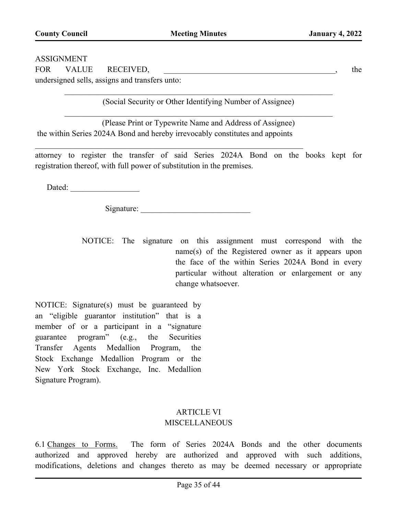#### ASSIGNMENT

FOR VALUE RECEIVED, \_\_\_\_\_\_\_\_\_\_\_\_\_\_\_\_\_\_\_\_\_\_\_\_\_\_\_\_\_\_\_\_\_\_\_\_\_\_\_\_\_\_, the

undersigned sells, assigns and transfers unto:

(Social Security or Other Identifying Number of Assignee)

(Please Print or Typewrite Name and Address of Assignee) the within Series 2024A Bond and hereby irrevocably constitutes and appoints

attorney to register the transfer of said Series 2024A Bond on the books kept for registration thereof, with full power of substitution in the premises.

Dated:

Signature:

NOTICE: The signature on this assignment must correspond with the name(s) of the Registered owner as it appears upon the face of the within Series 2024A Bond in every particular without alteration or enlargement or any change whatsoever.

NOTICE: Signature(s) must be guaranteed by an "eligible guarantor institution" that is a member of or a participant in a "signature guarantee program" (e.g., the Securities Transfer Agents Medallion Program, the Stock Exchange Medallion Program or the New York Stock Exchange, Inc. Medallion Signature Program).

### ARTICLE VI **MISCELLANEOUS**

6.1 Changes to Forms. The form of Series 2024A Bonds and the other documents authorized and approved hereby are authorized and approved with such additions, modifications, deletions and changes thereto as may be deemed necessary or appropriate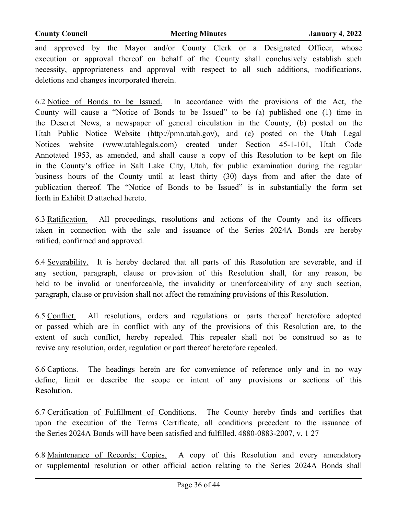and approved by the Mayor and/or County Clerk or a Designated Officer, whose execution or approval thereof on behalf of the County shall conclusively establish such necessity, appropriateness and approval with respect to all such additions, modifications, deletions and changes incorporated therein.

6.2 Notice of Bonds to be Issued. In accordance with the provisions of the Act, the County will cause a "Notice of Bonds to be Issued" to be (a) published one (1) time in the Deseret News, a newspaper of general circulation in the County, (b) posted on the Utah Public Notice Website (http://pmn.utah.gov), and (c) posted on the Utah Legal Notices website (www.utahlegals.com) created under Section 45-1-101, Utah Code Annotated 1953, as amended, and shall cause a copy of this Resolution to be kept on file in the County's office in Salt Lake City, Utah, for public examination during the regular business hours of the County until at least thirty (30) days from and after the date of publication thereof. The "Notice of Bonds to be Issued" is in substantially the form set forth in Exhibit D attached hereto.

6.3 Ratification. All proceedings, resolutions and actions of the County and its officers taken in connection with the sale and issuance of the Series 2024A Bonds are hereby ratified, confirmed and approved.

6.4 Severability. It is hereby declared that all parts of this Resolution are severable, and if any section, paragraph, clause or provision of this Resolution shall, for any reason, be held to be invalid or unenforceable, the invalidity or unenforceability of any such section, paragraph, clause or provision shall not affect the remaining provisions of this Resolution.

6.5 Conflict. All resolutions, orders and regulations or parts thereof heretofore adopted or passed which are in conflict with any of the provisions of this Resolution are, to the extent of such conflict, hereby repealed. This repealer shall not be construed so as to revive any resolution, order, regulation or part thereof heretofore repealed.

6.6 Captions. The headings herein are for convenience of reference only and in no way define, limit or describe the scope or intent of any provisions or sections of this Resolution.

6.7 Certification of Fulfillment of Conditions. The County hereby finds and certifies that upon the execution of the Terms Certificate, all conditions precedent to the issuance of the Series 2024A Bonds will have been satisfied and fulfilled. 4880-0883-2007, v. 1 27

6.8 Maintenance of Records; Copies. A copy of this Resolution and every amendatory or supplemental resolution or other official action relating to the Series 2024A Bonds shall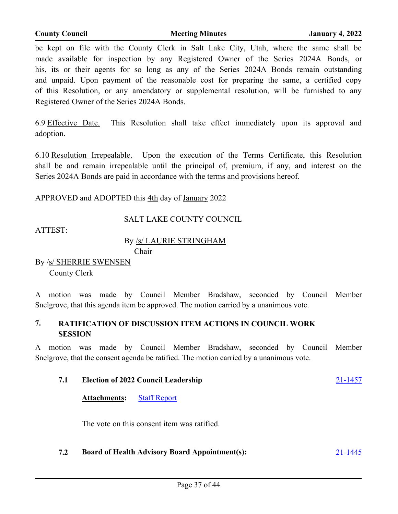6.9 Effective Date. This Resolution shall take effect immediately upon its approval and adoption.

6.10 Resolution Irrepealable. Upon the execution of the Terms Certificate, this Resolution shall be and remain irrepealable until the principal of, premium, if any, and interest on the Series 2024A Bonds are paid in accordance with the terms and provisions hereof.

APPROVED and ADOPTED this 4th day of January 2022

### SALT LAKE COUNTY COUNCIL

ATTEST:

#### By /s/ LAURIE STRINGHAM Chair

By /s/ SHERRIE SWENSEN County Clerk

A motion was made by Council Member Bradshaw, seconded by Council Member Snelgrove, that this agenda item be approved. The motion carried by a unanimous vote.

#### **7. RATIFICATION OF DISCUSSION ITEM ACTIONS IN COUNCIL WORK SESSION**

A motion was made by Council Member Bradshaw, seconded by Council Member Snelgrove, that the consent agenda be ratified. The motion carried by a unanimous vote.

### **7.1 Election of 2022 Council Leadership** [21-1457](http://slco.legistar.com/gateway.aspx?m=l&id=/matter.aspx?key=7211)

**Attachments:** [Staff Report](http://slco.legistar.com/gateway.aspx?M=F&ID=e5e79049-94b4-4940-bf73-437ae4725a83.pdf)

The vote on this consent item was ratified.

#### **7.2 Board of Health Advisory Board Appointment(s):** [21-1445](http://slco.legistar.com/gateway.aspx?m=l&id=/matter.aspx?key=7199)

be kept on file with the County Clerk in Salt Lake City, Utah, where the same shall be made available for inspection by any Registered Owner of the Series 2024A Bonds, or his, its or their agents for so long as any of the Series 2024A Bonds remain outstanding and unpaid. Upon payment of the reasonable cost for preparing the same, a certified copy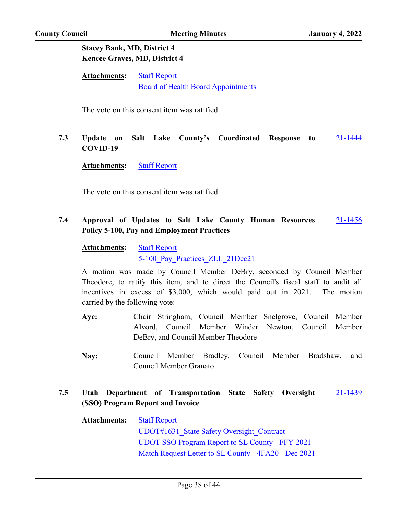#### **Stacey Bank, MD, District 4 Kencee Graves, MD, District 4**

| <b>Attachments:</b> | <b>Staff Report</b>                       |
|---------------------|-------------------------------------------|
|                     | <b>Board of Health Board Appointments</b> |

The vote on this consent item was ratified.

#### **7.3 Update on Salt Lake County's Coordinated Response to COVID-19** [21-1444](http://slco.legistar.com/gateway.aspx?m=l&id=/matter.aspx?key=7198)

**Attachments:** [Staff Report](http://slco.legistar.com/gateway.aspx?M=F&ID=798c1072-28f4-4e27-a540-a8ba26003b0e.pdf)

The vote on this consent item was ratified.

#### **7.4 Approval of Updates to Salt Lake County Human Resources Policy 5-100, Pay and Employment Practices** [21-1456](http://slco.legistar.com/gateway.aspx?m=l&id=/matter.aspx?key=7210)

| <b>Attachments:</b> | <b>Staff Report</b>             |  |
|---------------------|---------------------------------|--|
|                     | 5-100 Pay Practices ZLL 21Dec21 |  |

A motion was made by Council Member DeBry, seconded by Council Member Theodore, to ratify this item, and to direct the Council's fiscal staff to audit all incentives in excess of \$3,000, which would paid out in 2021. The motion carried by the following vote:

- Chair Stringham, Council Member Snelgrove, Council Member Alvord, Council Member Winder Newton, Council Member DeBry, and Council Member Theodore **Aye:**
- Council Member Bradley, Council Member Bradshaw, and Council Member Granato **Nay:**

#### **7.5 Utah Department of Transportation State Safety Oversight (SSO) Program Report and Invoice** [21-1439](http://slco.legistar.com/gateway.aspx?m=l&id=/matter.aspx?key=7193)

| <b>Attachments:</b> | <b>Staff Report</b>                                    |
|---------------------|--------------------------------------------------------|
|                     | UDOT#1631 State Safety Oversight Contract              |
|                     | <b>UDOT SSO Program Report to SL County - FFY 2021</b> |
|                     | Match Request Letter to SL County - 4FA20 - Dec 2021   |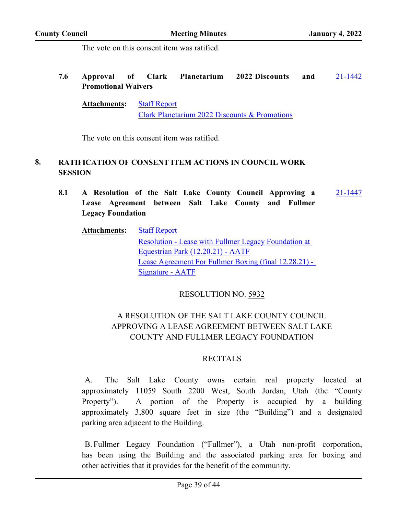The vote on this consent item was ratified.

**7.6 Approval of Clark Planetarium 2022 Discounts and Promotional Waivers** [21-1442](http://slco.legistar.com/gateway.aspx?m=l&id=/matter.aspx?key=7196)

**Attachments:** [Staff Report](http://slco.legistar.com/gateway.aspx?M=F&ID=2803dcc7-e624-4154-afc2-590aa713a322.pdf) [Clark Planetarium 2022 Discounts & Promotions](http://slco.legistar.com/gateway.aspx?M=F&ID=518777ba-db93-4a3f-86e4-de7911c0212a.pdf)

The vote on this consent item was ratified.

#### **8. RATIFICATION OF CONSENT ITEM ACTIONS IN COUNCIL WORK SESSION**

**8.1 A Resolution of the Salt Lake County Council Approving a Lease Agreement between Salt Lake County and Fullmer Legacy Foundation** [21-1447](http://slco.legistar.com/gateway.aspx?m=l&id=/matter.aspx?key=7201)

| <b>Attachments:</b> | <b>Staff Report</b>                                         |
|---------------------|-------------------------------------------------------------|
|                     | <b>Resolution - Lease with Fullmer Legacy Foundation at</b> |
|                     | Equestrian Park (12.20.21) - AATF                           |
|                     | Lease Agreement For Fullmer Boxing (final 12.28.21) -       |
|                     | Signature - AATF                                            |

#### RESOLUTION NO. 5932

### A RESOLUTION OF THE SALT LAKE COUNTY COUNCIL APPROVING A LEASE AGREEMENT BETWEEN SALT LAKE COUNTY AND FULLMER LEGACY FOUNDATION

#### RECITALS

A. The Salt Lake County owns certain real property located at approximately 11059 South 2200 West, South Jordan, Utah (the "County Property"). A portion of the Property is occupied by a building approximately 3,800 square feet in size (the "Building") and a designated parking area adjacent to the Building.

B. Fullmer Legacy Foundation ("Fullmer"), a Utah non-profit corporation, has been using the Building and the associated parking area for boxing and other activities that it provides for the benefit of the community.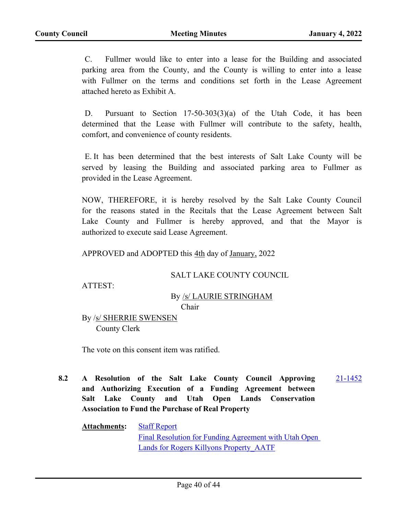C. Fullmer would like to enter into a lease for the Building and associated parking area from the County, and the County is willing to enter into a lease with Fullmer on the terms and conditions set forth in the Lease Agreement attached hereto as Exhibit A.

D. Pursuant to Section 17-50-303(3)(a) of the Utah Code, it has been determined that the Lease with Fullmer will contribute to the safety, health, comfort, and convenience of county residents.

E. It has been determined that the best interests of Salt Lake County will be served by leasing the Building and associated parking area to Fullmer as provided in the Lease Agreement.

NOW, THEREFORE, it is hereby resolved by the Salt Lake County Council for the reasons stated in the Recitals that the Lease Agreement between Salt Lake County and Fullmer is hereby approved, and that the Mayor is authorized to execute said Lease Agreement.

APPROVED and ADOPTED this 4th day of January, 2022

#### SALT LAKE COUNTY COUNCIL

ATTEST:

#### By /s/ LAURIE STRINGHAM Chair

By /s/ SHERRIE SWENSEN County Clerk

The vote on this consent item was ratified.

**8.2 A Resolution of the Salt Lake County Council Approving and Authorizing Execution of a Funding Agreement between Salt Lake County and Utah Open Lands Conservation Association to Fund the Purchase of Real Property** [21-1452](http://slco.legistar.com/gateway.aspx?m=l&id=/matter.aspx?key=7206)

**Attachments:** [Staff Report](http://slco.legistar.com/gateway.aspx?M=F&ID=ac0f9115-908d-4a99-89fb-3a8a750975b9.pdf) [Final Resolution for Funding Agreement with Utah Open](http://slco.legistar.com/gateway.aspx?M=F&ID=a8412514-b15a-4abf-82ba-aef8d25263c9.pdf)  Lands for Rogers Killyons Property AATF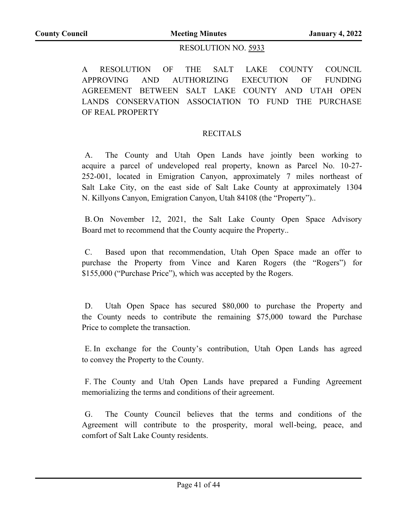#### RESOLUTION NO. 5933

A RESOLUTION OF THE SALT LAKE COUNTY COUNCIL APPROVING AND AUTHORIZING EXECUTION OF FUNDING AGREEMENT BETWEEN SALT LAKE COUNTY AND UTAH OPEN LANDS CONSERVATION ASSOCIATION TO FUND THE PURCHASE OF REAL PROPERTY

#### RECITALS

A. The County and Utah Open Lands have jointly been working to acquire a parcel of undeveloped real property, known as Parcel No. 10-27- 252-001, located in Emigration Canyon, approximately 7 miles northeast of Salt Lake City, on the east side of Salt Lake County at approximately 1304 N. Killyons Canyon, Emigration Canyon, Utah 84108 (the "Property")..

B. On November 12, 2021, the Salt Lake County Open Space Advisory Board met to recommend that the County acquire the Property..

C. Based upon that recommendation, Utah Open Space made an offer to purchase the Property from Vince and Karen Rogers (the "Rogers") for \$155,000 ("Purchase Price"), which was accepted by the Rogers.

D. Utah Open Space has secured \$80,000 to purchase the Property and the County needs to contribute the remaining \$75,000 toward the Purchase Price to complete the transaction.

E. In exchange for the County's contribution, Utah Open Lands has agreed to convey the Property to the County.

F. The County and Utah Open Lands have prepared a Funding Agreement memorializing the terms and conditions of their agreement.

G. The County Council believes that the terms and conditions of the Agreement will contribute to the prosperity, moral well-being, peace, and comfort of Salt Lake County residents.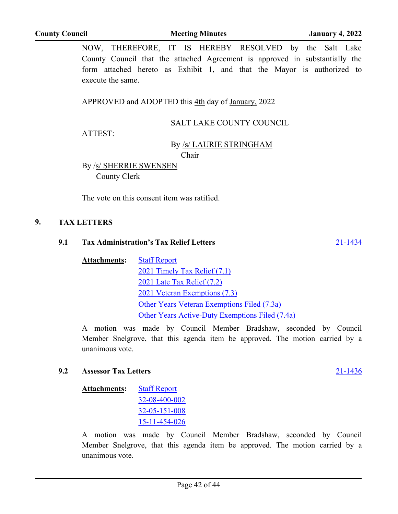NOW, THEREFORE, IT IS HEREBY RESOLVED by the Salt Lake County Council that the attached Agreement is approved in substantially the form attached hereto as Exhibit 1, and that the Mayor is authorized to execute the same.

APPROVED and ADOPTED this 4th day of January, 2022

### SALT LAKE COUNTY COUNCIL

ATTEST:

#### By /s/ LAURIE STRINGHAM

Chair

By /s/ SHERRIE SWENSEN County Clerk

The vote on this consent item was ratified.

#### **9. TAX LETTERS**

#### **9.1 Tax Administration's Tax Relief Letters** [21-1434](http://slco.legistar.com/gateway.aspx?m=l&id=/matter.aspx?key=7188)

**Attachments:** [Staff Report](http://slco.legistar.com/gateway.aspx?M=F&ID=769e06bd-1d40-42c8-bb18-f4038a762fe9.pdf) [2021 Timely Tax Relief \(7.1\)](http://slco.legistar.com/gateway.aspx?M=F&ID=30e4b3af-73f1-458d-9b68-dea819f4388a.pdf) [2021 Late Tax Relief \(7.2\)](http://slco.legistar.com/gateway.aspx?M=F&ID=34c44ed9-4f21-4524-ac19-81e1dd4545c6.pdf) [2021 Veteran Exemptions \(7.3\)](http://slco.legistar.com/gateway.aspx?M=F&ID=02117ff3-9f2a-4ed0-8a83-a387b89f8008.pdf) [Other Years Veteran Exemptions Filed \(7.3a\)](http://slco.legistar.com/gateway.aspx?M=F&ID=b1eba2ab-c6a7-4534-81d4-6b91172a4c10.pdf) [Other Years Active-Duty Exemptions Filed \(7.4a\)](http://slco.legistar.com/gateway.aspx?M=F&ID=e8e4b73d-a93c-45c7-a605-4f41c515e8cc.pdf)

A motion was made by Council Member Bradshaw, seconded by Council Member Snelgrove, that this agenda item be approved. The motion carried by a unanimous vote.

#### **9.2 Assessor Tax Letters** [21-1436](http://slco.legistar.com/gateway.aspx?m=l&id=/matter.aspx?key=7190)

| <b>Attachments:</b> | <b>Staff Report</b>   |
|---------------------|-----------------------|
|                     | 32-08-400-002         |
|                     | $32 - 05 - 151 - 008$ |
|                     | 15-11-454-026         |

A motion was made by Council Member Bradshaw, seconded by Council Member Snelgrove, that this agenda item be approved. The motion carried by a unanimous vote.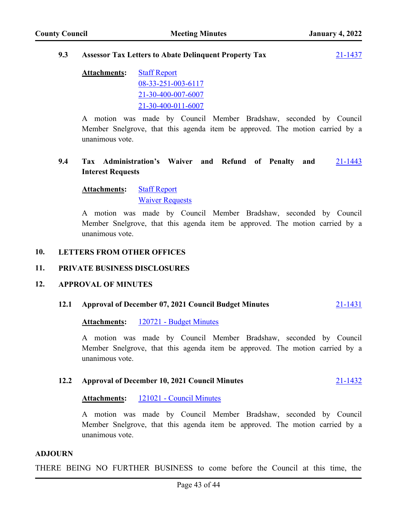#### **9.3 Assessor Tax Letters to Abate Delinquent Property Tax** [21-1437](http://slco.legistar.com/gateway.aspx?m=l&id=/matter.aspx?key=7191)

| <b>Attachments:</b> | <b>Staff Report</b> |
|---------------------|---------------------|
|                     | 08-33-251-003-6117  |
|                     | 21-30-400-007-6007  |
|                     | 21-30-400-011-6007  |

A motion was made by Council Member Bradshaw, seconded by Council Member Snelgrove, that this agenda item be approved. The motion carried by a unanimous vote.

#### **9.4 Tax Administration's Waiver and Refund of Penalty and Interest Requests** [21-1443](http://slco.legistar.com/gateway.aspx?m=l&id=/matter.aspx?key=7197)

#### **Attachments:** [Staff Report](http://slco.legistar.com/gateway.aspx?M=F&ID=05de16bd-6e79-4ebb-892c-edce44f81d82.pdf) [Waiver Requests](http://slco.legistar.com/gateway.aspx?M=F&ID=80e02b6f-e601-4319-982c-9aa702aafdc3.pdf)

A motion was made by Council Member Bradshaw, seconded by Council Member Snelgrove, that this agenda item be approved. The motion carried by a unanimous vote.

#### **10. LETTERS FROM OTHER OFFICES**

#### **11. PRIVATE BUSINESS DISCLOSURES**

#### **12. APPROVAL OF MINUTES**

#### **12.1 Approval of December 07, 2021 Council Budget Minutes** [21-1431](http://slco.legistar.com/gateway.aspx?m=l&id=/matter.aspx?key=7185)

#### **Attachments:** [120721 - Budget Minutes](http://slco.legistar.com/gateway.aspx?M=F&ID=1c0fea87-7a97-4942-ad06-d2ea13371559.pdf)

A motion was made by Council Member Bradshaw, seconded by Council Member Snelgrove, that this agenda item be approved. The motion carried by a unanimous vote.

#### **12.2 Approval of December 10, 2021 Council Minutes** [21-1432](http://slco.legistar.com/gateway.aspx?m=l&id=/matter.aspx?key=7186)

#### **Attachments:** [121021 - Council Minutes](http://slco.legistar.com/gateway.aspx?M=F&ID=868659ed-5565-4acc-8b7b-3ff03bc1eddf.pdf)

A motion was made by Council Member Bradshaw, seconded by Council Member Snelgrove, that this agenda item be approved. The motion carried by a unanimous vote.

#### **ADJOURN**

THERE BEING NO FURTHER BUSINESS to come before the Council at this time, the